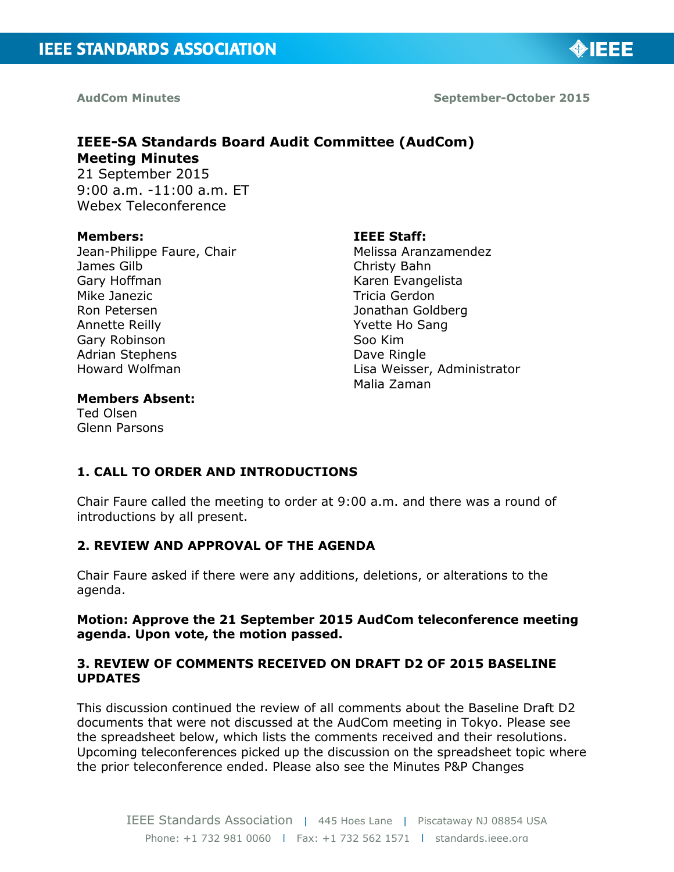

**AudCom Minutes September-October 2015** 

◈IEEE

### **IEEE-SA Standards Board Audit Committee (AudCom) Meeting Minutes**

21 September 2015 9:00 a.m. -11:00 a.m. ET Webex Teleconference

#### **Members:**

Jean-Philippe Faure, Chair James Gilb Gary Hoffman Mike Janezic Ron Petersen Annette Reilly Gary Robinson Adrian Stephens Howard Wolfman

#### **IEEE Staff:**

Melissa Aranzamendez Christy Bahn Karen Evangelista Tricia Gerdon Jonathan Goldberg Yvette Ho Sang Soo Kim Dave Ringle Lisa Weisser, Administrator Malia Zaman

#### **Members Absent:**

Ted Olsen Glenn Parsons

#### **1. CALL TO ORDER AND INTRODUCTIONS**

Chair Faure called the meeting to order at 9:00 a.m. and there was a round of introductions by all present.

#### **2. REVIEW AND APPROVAL OF THE AGENDA**

Chair Faure asked if there were any additions, deletions, or alterations to the agenda.

#### **Motion: Approve the 21 September 2015 AudCom teleconference meeting agenda. Upon vote, the motion passed.**

#### **3. REVIEW OF COMMENTS RECEIVED ON DRAFT D2 OF 2015 BASELINE UPDATES**

This discussion continued the review of all comments about the Baseline Draft D2 documents that were not discussed at the AudCom meeting in Tokyo. Please see the spreadsheet below, which lists the comments received and their resolutions. Upcoming teleconferences picked up the discussion on the spreadsheet topic where the prior teleconference ended. Please also see the Minutes P&P Changes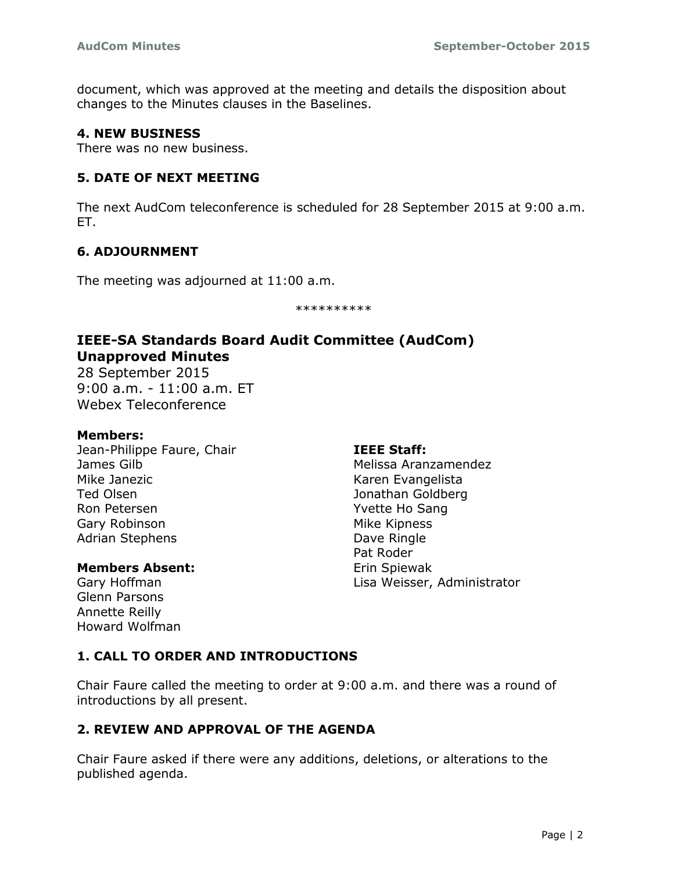document, which was approved at the meeting and details the disposition about changes to the Minutes clauses in the Baselines.

#### **4. NEW BUSINESS**

There was no new business.

#### **5. DATE OF NEXT MEETING**

The next AudCom teleconference is scheduled for 28 September 2015 at 9:00 a.m. ET.

#### **6. ADJOURNMENT**

The meeting was adjourned at 11:00 a.m.

\*\*\*\*\*\*\*\*\*\*

#### **IEEE-SA Standards Board Audit Committee (AudCom) Unapproved Minutes**

28 September 2015 9:00 a.m. - 11:00 a.m. ET Webex Teleconference

#### **Members:**

Jean-Philippe Faure, Chair James Gilb Mike Janezic Ted Olsen Ron Petersen Gary Robinson Adrian Stephens

#### **Members Absent:**

Gary Hoffman Glenn Parsons Annette Reilly Howard Wolfman

#### **IEEE Staff:**

Melissa Aranzamendez Karen Evangelista Jonathan Goldberg Yvette Ho Sang Mike Kipness Dave Ringle Pat Roder Erin Spiewak Lisa Weisser, Administrator

#### **1. CALL TO ORDER AND INTRODUCTIONS**

Chair Faure called the meeting to order at 9:00 a.m. and there was a round of introductions by all present.

#### **2. REVIEW AND APPROVAL OF THE AGENDA**

Chair Faure asked if there were any additions, deletions, or alterations to the published agenda.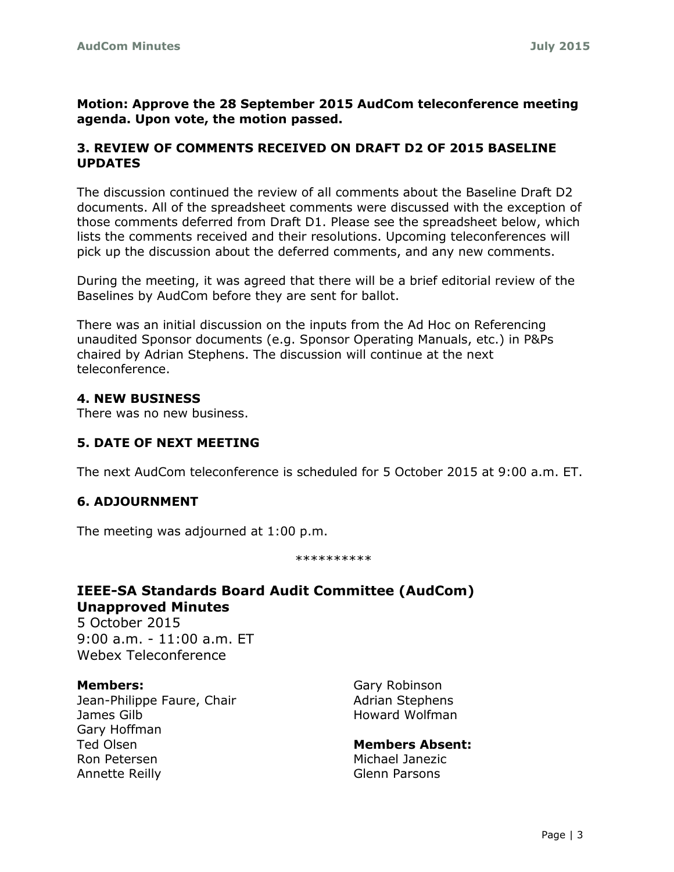**Motion: Approve the 28 September 2015 AudCom teleconference meeting agenda. Upon vote, the motion passed.**

#### **3. REVIEW OF COMMENTS RECEIVED ON DRAFT D2 OF 2015 BASELINE UPDATES**

The discussion continued the review of all comments about the Baseline Draft D2 documents. All of the spreadsheet comments were discussed with the exception of those comments deferred from Draft D1. Please see the spreadsheet below, which lists the comments received and their resolutions. Upcoming teleconferences will pick up the discussion about the deferred comments, and any new comments.

During the meeting, it was agreed that there will be a brief editorial review of the Baselines by AudCom before they are sent for ballot.

There was an initial discussion on the inputs from the Ad Hoc on Referencing unaudited Sponsor documents (e.g. Sponsor Operating Manuals, etc.) in P&Ps chaired by Adrian Stephens. The discussion will continue at the next teleconference.

#### **4. NEW BUSINESS**

There was no new business.

#### **5. DATE OF NEXT MEETING**

The next AudCom teleconference is scheduled for 5 October 2015 at 9:00 a.m. ET.

#### **6. ADJOURNMENT**

The meeting was adjourned at 1:00 p.m.

\*\*\*\*\*\*\*\*\*\*

#### **IEEE-SA Standards Board Audit Committee (AudCom) Unapproved Minutes**

5 October 2015 9:00 a.m. - 11:00 a.m. ET Webex Teleconference

#### **Members:**

Jean-Philippe Faure, Chair James Gilb Gary Hoffman Ted Olsen Ron Petersen Annette Reilly

Gary Robinson Adrian Stephens Howard Wolfman

**Members Absent:** Michael Janezic Glenn Parsons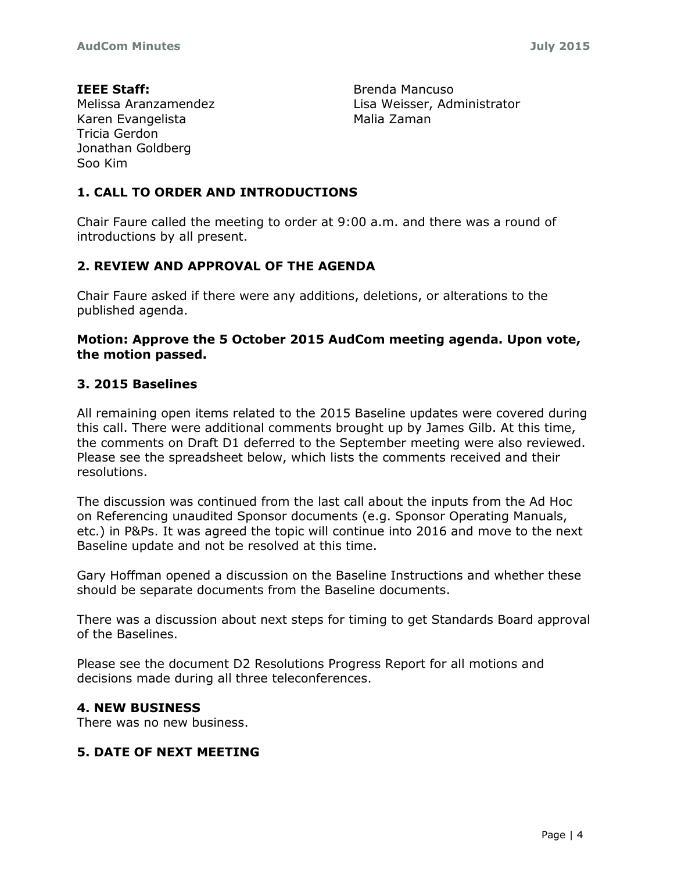**IEEE Staff:** Melissa Aranzamendez Karen Evangelista Tricia Gerdon Jonathan Goldberg Soo Kim

Brenda Mancuso Lisa Weisser, Administrator Malia Zaman

#### **1. CALL TO ORDER AND INTRODUCTIONS**

Chair Faure called the meeting to order at 9:00 a.m. and there was a round of introductions by all present.

#### **2. REVIEW AND APPROVAL OF THE AGENDA**

Chair Faure asked if there were any additions, deletions, or alterations to the published agenda.

#### **Motion: Approve the 5 October 2015 AudCom meeting agenda. Upon vote, the motion passed.**

#### **3. 2015 Baselines**

All remaining open items related to the 2015 Baseline updates were covered during this call. There were additional comments brought up by James Gilb. At this time, the comments on Draft D1 deferred to the September meeting were also reviewed. Please see the spreadsheet below, which lists the comments received and their resolutions.

The discussion was continued from the last call about the inputs from the Ad Hoc on Referencing unaudited Sponsor documents (e.g. Sponsor Operating Manuals, etc.) in P&Ps. It was agreed the topic will continue into 2016 and move to the next Baseline update and not be resolved at this time.

Gary Hoffman opened a discussion on the Baseline Instructions and whether these should be separate documents from the Baseline documents.

There was a discussion about next steps for timing to get Standards Board approval of the Baselines.

Please see the document D2 Resolutions Progress Report for all motions and decisions made during all three teleconferences.

#### **4. NEW BUSINESS**

There was no new business.

#### **5. DATE OF NEXT MEETING**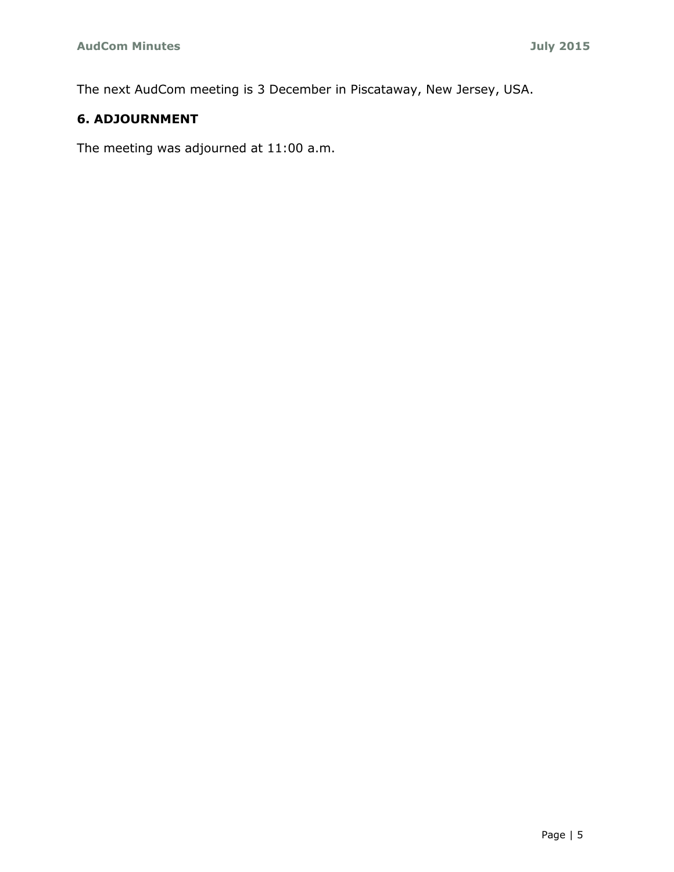The next AudCom meeting is 3 December in Piscataway, New Jersey, USA.

### **6. ADJOURNMENT**

The meeting was adjourned at 11:00 a.m.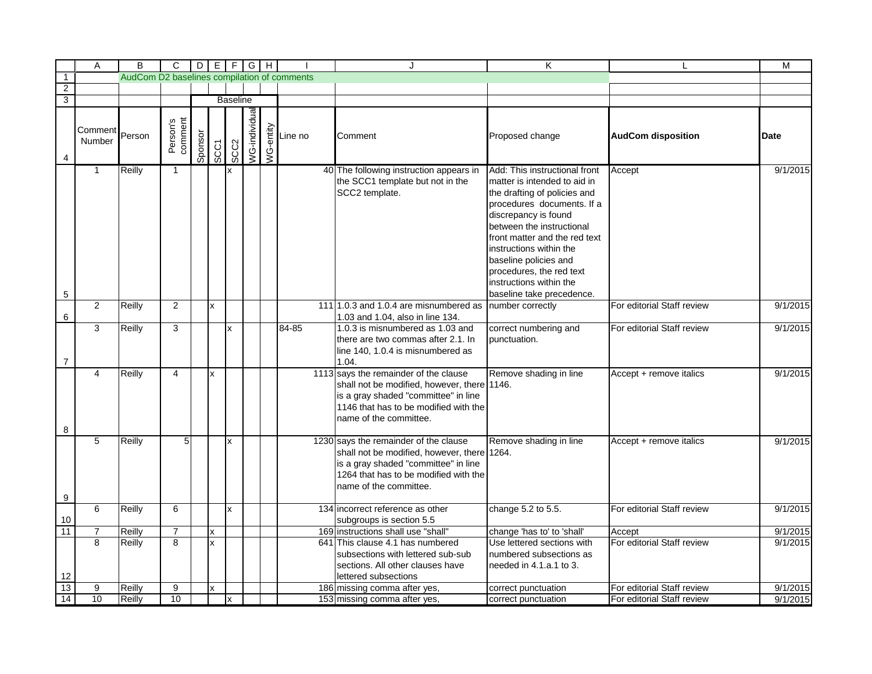|                  | A                 | $\overline{B}$                              | $\overline{C}$      |         |             |                 | $D[E F G H]$  |           |         | J                                                                                                                                                                                               | K                                                                                                                                                                                                                                                                                                                                                         | L                          | M        |
|------------------|-------------------|---------------------------------------------|---------------------|---------|-------------|-----------------|---------------|-----------|---------|-------------------------------------------------------------------------------------------------------------------------------------------------------------------------------------------------|-----------------------------------------------------------------------------------------------------------------------------------------------------------------------------------------------------------------------------------------------------------------------------------------------------------------------------------------------------------|----------------------------|----------|
| $\overline{1}$   |                   | AudCom D2 baselines compilation of comments |                     |         |             |                 |               |           |         |                                                                                                                                                                                                 |                                                                                                                                                                                                                                                                                                                                                           |                            |          |
| $\overline{2}$   |                   |                                             |                     |         |             |                 |               |           |         |                                                                                                                                                                                                 |                                                                                                                                                                                                                                                                                                                                                           |                            |          |
| $\overline{3}$   |                   |                                             |                     |         |             | <b>Baseline</b> |               |           |         |                                                                                                                                                                                                 |                                                                                                                                                                                                                                                                                                                                                           |                            |          |
| 4                | Comment<br>Number | Person                                      | Person's<br>comment | Sponsor | <b>SCC1</b> | SCC2            | VG-individual | WG-entity | Line no | Comment                                                                                                                                                                                         | Proposed change                                                                                                                                                                                                                                                                                                                                           | <b>AudCom disposition</b>  | Date     |
| 5                | $\mathbf{1}$      | Reilly                                      | 1                   |         |             | x               |               |           |         | 40 The following instruction appears in<br>the SCC1 template but not in the<br>SCC2 template.                                                                                                   | Add: This instructional front<br>matter is intended to aid in<br>the drafting of policies and<br>procedures documents. If a<br>discrepancy is found<br>between the instructional<br>front matter and the red text<br>instructions within the<br>baseline policies and<br>procedures, the red text<br>instructions within the<br>baseline take precedence. | Accept                     | 9/1/2015 |
| 6                | 2                 | Reilly                                      | $\overline{2}$      |         | x           |                 |               |           |         | 11111.0.3 and 1.0.4 are misnumbered as<br>1.03 and 1.04, also in line 134.                                                                                                                      | number correctly                                                                                                                                                                                                                                                                                                                                          | For editorial Staff review | 9/1/2015 |
| $\overline{7}$   | $\overline{3}$    | Reilly                                      | 3                   |         |             | x               |               |           | 84-85   | 1.0.3 is misnumbered as 1.03 and<br>there are two commas after 2.1. In<br>line 140, 1.0.4 is misnumbered as<br>1.04.                                                                            | correct numbering and<br>punctuation.                                                                                                                                                                                                                                                                                                                     | For editorial Staff review | 9/1/2015 |
| 8                | $\overline{4}$    | Reilly                                      | $\overline{4}$      |         | x           |                 |               |           |         | 1113 says the remainder of the clause<br>shall not be modified, however, there 1146.<br>is a gray shaded "committee" in line<br>1146 that has to be modified with the<br>name of the committee. | Remove shading in line                                                                                                                                                                                                                                                                                                                                    | Accept + remove italics    | 9/1/2015 |
| $\boldsymbol{9}$ | 5                 | Reilly                                      | 5                   |         |             | x               |               |           |         | 1230 says the remainder of the clause<br>shall not be modified, however, there 1264.<br>is a gray shaded "committee" in line<br>1264 that has to be modified with the<br>name of the committee. | Remove shading in line                                                                                                                                                                                                                                                                                                                                    | Accept + remove italics    | 9/1/2015 |
| 10               | 6                 | Reilly                                      | 6                   |         |             | x               |               |           |         | 134 incorrect reference as other<br>subgroups is section 5.5                                                                                                                                    | change 5.2 to 5.5.                                                                                                                                                                                                                                                                                                                                        | For editorial Staff review | 9/1/2015 |
| 11               | $\overline{7}$    | Reilly                                      | $\overline{7}$      |         | X           |                 |               |           |         | 169 instructions shall use "shall"                                                                                                                                                              | change 'has to' to 'shall'                                                                                                                                                                                                                                                                                                                                | Accept                     | 9/1/2015 |
| 12               | 8                 | Reilly                                      | 8                   |         | x           |                 |               |           |         | 641 This clause 4.1 has numbered<br>subsections with lettered sub-sub<br>sections. All other clauses have<br>lettered subsections                                                               | Use lettered sections with<br>numbered subsections as<br>needed in 4.1.a.1 to 3.                                                                                                                                                                                                                                                                          | For editorial Staff review | 9/1/2015 |
| $\overline{13}$  | 9                 | Reilly                                      | 9                   |         | x           |                 |               |           |         | 186 missing comma after yes,                                                                                                                                                                    | correct punctuation                                                                                                                                                                                                                                                                                                                                       | For editorial Staff review | 9/1/2015 |
| 14               | 10                | Reilly                                      | 10                  |         |             | x               |               |           |         | 153 missing comma after yes,                                                                                                                                                                    | correct punctuation                                                                                                                                                                                                                                                                                                                                       | For editorial Staff review | 9/1/2015 |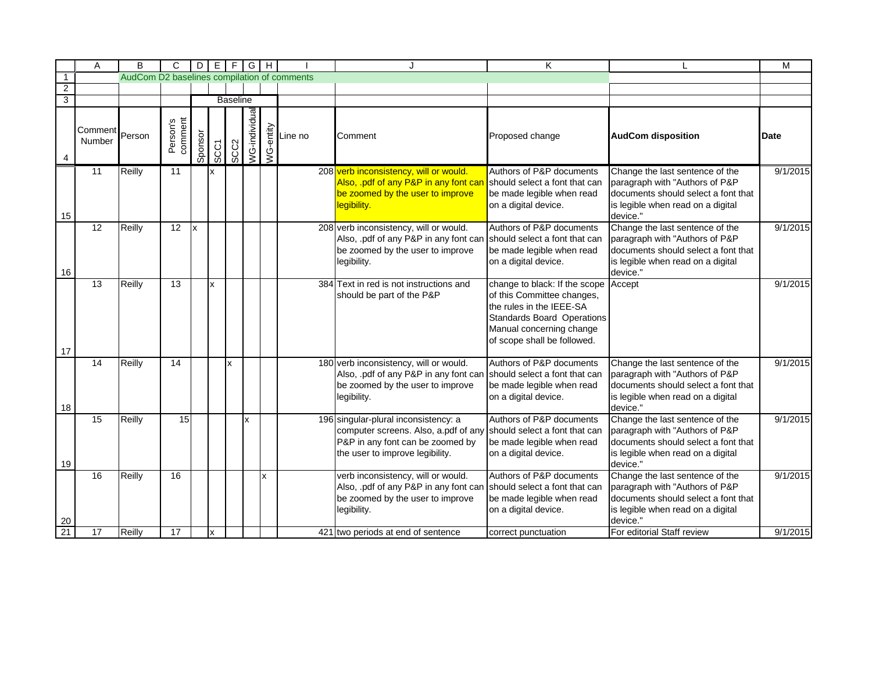|                | Α                 | B                                           | C                   |         |      |                 | $D   E   F   G   H  $ |   |                                                                                                   | J                                                                                                                                                   | K                                                                                                                                                                                       |                                                                                                                                                           | M        |
|----------------|-------------------|---------------------------------------------|---------------------|---------|------|-----------------|-----------------------|---|---------------------------------------------------------------------------------------------------|-----------------------------------------------------------------------------------------------------------------------------------------------------|-----------------------------------------------------------------------------------------------------------------------------------------------------------------------------------------|-----------------------------------------------------------------------------------------------------------------------------------------------------------|----------|
| $\overline{1}$ |                   | AudCom D2 baselines compilation of comments |                     |         |      |                 |                       |   |                                                                                                   |                                                                                                                                                     |                                                                                                                                                                                         |                                                                                                                                                           |          |
| $\overline{2}$ |                   |                                             |                     |         |      |                 |                       |   |                                                                                                   |                                                                                                                                                     |                                                                                                                                                                                         |                                                                                                                                                           |          |
| $\overline{3}$ |                   |                                             |                     |         |      | <b>Baseline</b> |                       |   |                                                                                                   |                                                                                                                                                     |                                                                                                                                                                                         |                                                                                                                                                           |          |
|                | Comment<br>Number | Person                                      | Person's<br>comment | Sponsor | SCC1 | SCC2            | <b>NG-individua</b>   |   | $\begin{array}{c}\n\sum_{\substack{1\\0\\0\leq x\leq n}}\text{Line no} \\ \text{A.}\n\end{array}$ | Comment                                                                                                                                             | Proposed change                                                                                                                                                                         | <b>AudCom disposition</b>                                                                                                                                 | Date     |
| 15             | 11                | Reilly                                      | 11                  |         | x    |                 |                       |   |                                                                                                   | 208 verb inconsistency, will or would.<br>Also, .pdf of any P&P in any font car<br>be zoomed by the user to improve<br>legibility.                  | Authors of P&P documents<br>should select a font that can<br>be made legible when read<br>on a digital device.                                                                          | Change the last sentence of the<br>paragraph with "Authors of P&P<br>documents should select a font that<br>is legible when read on a digital<br>device." | 9/1/2015 |
| 16             | $\overline{12}$   | Reilly                                      | 12                  | x       |      |                 |                       |   |                                                                                                   | 208 verb inconsistency, will or would.<br>Also, .pdf of any P&P in any font can<br>be zoomed by the user to improve<br>legibility.                  | Authors of P&P documents<br>should select a font that can<br>be made legible when read<br>on a digital device.                                                                          | Change the last sentence of the<br>paragraph with "Authors of P&P<br>documents should select a font that<br>is legible when read on a digital<br>device." | 9/1/2015 |
| 17             | 13                | Reilly                                      | 13                  |         | x    |                 |                       |   |                                                                                                   | 384 Text in red is not instructions and<br>should be part of the P&P                                                                                | change to black: If the scope<br>of this Committee changes,<br>the rules in the IEEE-SA<br><b>Standards Board Operations</b><br>Manual concerning change<br>of scope shall be followed. | Accept                                                                                                                                                    | 9/1/2015 |
| 18             | 14                | Reilly                                      | 14                  |         |      | Ιx              |                       |   |                                                                                                   | 180 verb inconsistency, will or would.<br>Also, .pdf of any P&P in any font can<br>be zoomed by the user to improve<br>legibility.                  | Authors of P&P documents<br>should select a font that can<br>be made legible when read<br>on a digital device.                                                                          | Change the last sentence of the<br>paragraph with "Authors of P&P<br>documents should select a font that<br>is legible when read on a digital<br>device." | 9/1/2015 |
| 19             | 15                | Reilly                                      | 15                  |         |      |                 | x                     |   |                                                                                                   | 196 singular-plural inconsistency: a<br>computer screens. Also, a.pdf of any<br>P&P in any font can be zoomed by<br>the user to improve legibility. | Authors of P&P documents<br>should select a font that can<br>be made legible when read<br>on a digital device.                                                                          | Change the last sentence of the<br>paragraph with "Authors of P&P<br>documents should select a font that<br>is legible when read on a digital<br>device." | 9/1/2015 |
| 20             | 16                | Reilly                                      | 16                  |         |      |                 |                       | x |                                                                                                   | verb inconsistency, will or would.<br>Also, .pdf of any P&P in any font can<br>be zoomed by the user to improve<br>legibility.                      | Authors of P&P documents<br>should select a font that can<br>be made legible when read<br>on a digital device.                                                                          | Change the last sentence of the<br>paragraph with "Authors of P&P<br>documents should select a font that<br>is legible when read on a digital<br>device." | 9/1/2015 |
| 21             | 17                | Reilly                                      | 17                  |         | x    |                 |                       |   |                                                                                                   | 421 two periods at end of sentence                                                                                                                  | correct punctuation                                                                                                                                                                     | For editorial Staff review                                                                                                                                | 9/1/2015 |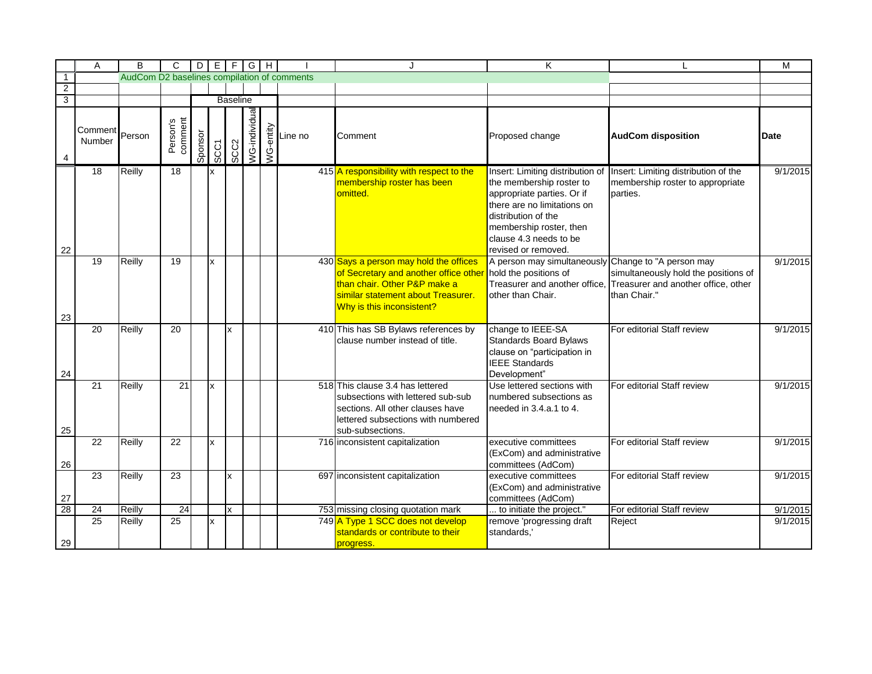|                | Α                           | B                                           | $\mathsf{C}$        |         |      |                 | $D   E   F   G   H  $ |                                                                                                                                                                                                                                                                                                                                                                                                                                                                                | . I                                                                                                                                                                                                      | K                                                                                                                                                                                                                            |                                                                                             | M        |
|----------------|-----------------------------|---------------------------------------------|---------------------|---------|------|-----------------|-----------------------|--------------------------------------------------------------------------------------------------------------------------------------------------------------------------------------------------------------------------------------------------------------------------------------------------------------------------------------------------------------------------------------------------------------------------------------------------------------------------------|----------------------------------------------------------------------------------------------------------------------------------------------------------------------------------------------------------|------------------------------------------------------------------------------------------------------------------------------------------------------------------------------------------------------------------------------|---------------------------------------------------------------------------------------------|----------|
| $\overline{1}$ |                             | AudCom D2 baselines compilation of comments |                     |         |      |                 |                       |                                                                                                                                                                                                                                                                                                                                                                                                                                                                                |                                                                                                                                                                                                          |                                                                                                                                                                                                                              |                                                                                             |          |
| $\overline{2}$ |                             |                                             |                     |         |      |                 |                       |                                                                                                                                                                                                                                                                                                                                                                                                                                                                                |                                                                                                                                                                                                          |                                                                                                                                                                                                                              |                                                                                             |          |
| $\overline{3}$ |                             |                                             |                     |         |      | <b>Baseline</b> |                       |                                                                                                                                                                                                                                                                                                                                                                                                                                                                                |                                                                                                                                                                                                          |                                                                                                                                                                                                                              |                                                                                             |          |
| 4              | Comment<br>Person<br>Number |                                             | Person's<br>comment | Sponsor | SCC1 | SCC2            | /VG-individual        | $\begin{array}{c}\n\sum_{\substack{1\\0\\0\leq x\leq n}}\text{Line no} \\ \mid \sum_{n=1}^{\infty}\text{Line no} \\ \mid \sum_{n=1}^{\infty}\text{Line no} \\ \mid \sum_{n=1}^{\infty}\text{Line no} \\ \mid \sum_{n=1}^{\infty}\text{Line no} \\ \mid \sum_{n=1}^{\infty}\text{Line no} \\ \mid \sum_{n=1}^{\infty}\text{Line no} \\ \mid \sum_{n=1}^{\infty}\text{Line no} \\ \mid \sum_{n=1}^{\infty}\text{Line no} \\ \mid \sum_{n=1}^{\infty}\text{Line no} \\ \mid \sum$ | Comment                                                                                                                                                                                                  | Proposed change                                                                                                                                                                                                              | <b>AudCom disposition</b>                                                                   | Date     |
| 22             | $\overline{18}$             | Reilly                                      | $\overline{18}$     |         | Ιx   |                 |                       |                                                                                                                                                                                                                                                                                                                                                                                                                                                                                | 415 A responsibility with respect to the<br>membership roster has been<br>omitted.                                                                                                                       | Insert: Limiting distribution of<br>the membership roster to<br>appropriate parties. Or if<br>there are no limitations on<br>distribution of the<br>membership roster, then<br>clause 4.3 needs to be<br>revised or removed. | Insert: Limiting distribution of the<br>membership roster to appropriate<br>parties.        | 9/1/2015 |
| 23             | $\overline{19}$             | Reilly                                      | 19                  |         | Ιx   |                 |                       |                                                                                                                                                                                                                                                                                                                                                                                                                                                                                | 430 Says a person may hold the offices<br>of Secretary and another office other hold the positions of<br>than chair. Other P&P make a<br>similar statement about Treasurer.<br>Why is this inconsistent? | A person may simultaneously Change to "A person may<br>Treasurer and another office,<br>other than Chair.                                                                                                                    | simultaneously hold the positions of<br>Treasurer and another office, other<br>than Chair." | 9/1/2015 |
| 24             | 20                          | Reilly                                      | 20                  |         |      | x               |                       |                                                                                                                                                                                                                                                                                                                                                                                                                                                                                | 410 This has SB Bylaws references by<br>clause number instead of title.                                                                                                                                  | change to IEEE-SA<br><b>Standards Board Bylaws</b><br>clause on "participation in<br><b>IEEE Standards</b><br>Development"                                                                                                   | For editorial Staff review                                                                  | 9/1/2015 |
| 25             | 21                          | Reilly                                      | 21                  |         | Ιx   |                 |                       |                                                                                                                                                                                                                                                                                                                                                                                                                                                                                | 518 This clause 3.4 has lettered<br>subsections with lettered sub-sub<br>sections. All other clauses have<br>lettered subsections with numbered<br>sub-subsections.                                      | Use lettered sections with<br>numbered subsections as<br>needed in 3.4.a.1 to 4.                                                                                                                                             | For editorial Staff review                                                                  | 9/1/2015 |
| 26             | 22                          | Reilly                                      | 22                  |         | Ιx   |                 |                       |                                                                                                                                                                                                                                                                                                                                                                                                                                                                                | 716 inconsistent capitalization                                                                                                                                                                          | executive committees<br>(ExCom) and administrative<br>committees (AdCom)                                                                                                                                                     | For editorial Staff review                                                                  | 9/1/2015 |
| 27             | 23                          | Reilly                                      | 23                  |         |      | x               |                       |                                                                                                                                                                                                                                                                                                                                                                                                                                                                                | 697 inconsistent capitalization                                                                                                                                                                          | executive committees<br>(ExCom) and administrative<br>committees (AdCom)                                                                                                                                                     | For editorial Staff review                                                                  | 9/1/2015 |
| 28             | 24                          | Reilly                                      | 24                  |         |      | $\mathbf{x}$    |                       |                                                                                                                                                                                                                                                                                                                                                                                                                                                                                | 753 missing closing quotation mark                                                                                                                                                                       | to initiate the project."                                                                                                                                                                                                    | For editorial Staff review                                                                  | 9/1/2015 |
| 29             | 25                          | Reilly                                      | 25                  |         | Ιx   |                 |                       |                                                                                                                                                                                                                                                                                                                                                                                                                                                                                | 749 A Type 1 SCC does not develop<br>standards or contribute to their<br>progress.                                                                                                                       | remove 'progressing draft<br>standards.'                                                                                                                                                                                     | Reject                                                                                      | 9/1/2015 |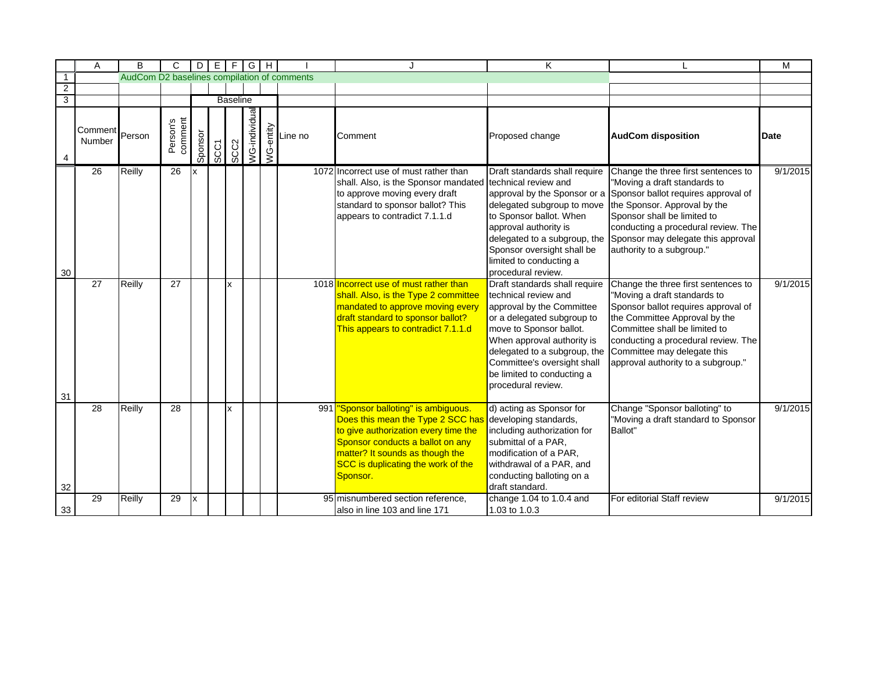|                | Α                           | B                                           | C                   |         |             |      | $D \mid E \mid F \mid G \mid H$ |                                                                                                                |                                                                                                                                                                                                                                            | K                                                                                                                                                                                                                                                                                            |                                                                                                                                                                                                                                                                                          | M        |
|----------------|-----------------------------|---------------------------------------------|---------------------|---------|-------------|------|---------------------------------|----------------------------------------------------------------------------------------------------------------|--------------------------------------------------------------------------------------------------------------------------------------------------------------------------------------------------------------------------------------------|----------------------------------------------------------------------------------------------------------------------------------------------------------------------------------------------------------------------------------------------------------------------------------------------|------------------------------------------------------------------------------------------------------------------------------------------------------------------------------------------------------------------------------------------------------------------------------------------|----------|
| $\overline{1}$ |                             | AudCom D2 baselines compilation of comments |                     |         |             |      |                                 |                                                                                                                |                                                                                                                                                                                                                                            |                                                                                                                                                                                                                                                                                              |                                                                                                                                                                                                                                                                                          |          |
| $\overline{2}$ |                             |                                             |                     |         |             |      |                                 |                                                                                                                |                                                                                                                                                                                                                                            |                                                                                                                                                                                                                                                                                              |                                                                                                                                                                                                                                                                                          |          |
| $\overline{3}$ |                             |                                             |                     |         |             |      | <b>Baseline</b>                 |                                                                                                                |                                                                                                                                                                                                                                            |                                                                                                                                                                                                                                                                                              |                                                                                                                                                                                                                                                                                          |          |
|                | Comment<br>Person<br>Number |                                             | Person's<br>comment | Sponsor | <b>SCC1</b> | SCC2 | NG-individua                    | $\begin{array}{c}\n\sum_{\substack{1\\0\\0\leq x\leq n}}\text{Line no} \\ \mid \sum_{n=1}^{\infty}\end{array}$ | Comment                                                                                                                                                                                                                                    | Proposed change                                                                                                                                                                                                                                                                              | <b>AudCom disposition</b>                                                                                                                                                                                                                                                                | Date     |
| $30\,$         | 26                          | <b>Reilly</b>                               | 26                  |         |             |      |                                 |                                                                                                                | 1072 Incorrect use of must rather than<br>shall. Also, is the Sponsor mandated<br>to approve moving every draft<br>standard to sponsor ballot? This<br>appears to contradict 7.1.1.d                                                       | Draft standards shall require<br>technical review and<br>approval by the Sponsor or a<br>delegated subgroup to move<br>to Sponsor ballot. When<br>approval authority is<br>delegated to a subgroup, the<br>Sponsor oversight shall be<br>limited to conducting a<br>procedural review.       | Change the three first sentences to<br>"Moving a draft standards to<br>Sponsor ballot requires approval of<br>the Sponsor. Approval by the<br>Sponsor shall be limited to<br>conducting a procedural review. The<br>Sponsor may delegate this approval<br>authority to a subgroup."      | 9/1/2015 |
| 31             | $\overline{27}$             | Reilly                                      | $\overline{27}$     |         |             | lx.  |                                 |                                                                                                                | 1018 Incorrect use of must rather than<br>shall. Also, is the Type 2 committee<br>mandated to approve moving every<br>draft standard to sponsor ballot?<br>This appears to contradict 7.1.1.d                                              | Draft standards shall require<br>technical review and<br>approval by the Committee<br>or a delegated subgroup to<br>move to Sponsor ballot.<br>When approval authority is<br>delegated to a subgroup, the<br>Committee's oversight shall<br>be limited to conducting a<br>procedural review. | Change the three first sentences to<br>"Moving a draft standards to<br>Sponsor ballot requires approval of<br>the Committee Approval by the<br>Committee shall be limited to<br>conducting a procedural review. The<br>Committee may delegate this<br>approval authority to a subgroup." | 9/1/2015 |
| 32             | 28                          | Reilly                                      | 28                  |         |             | Ιx   |                                 |                                                                                                                | 991 Sponsor balloting" is ambiguous.<br>Does this mean the Type 2 SCC has<br>to give authorization every time the<br>Sponsor conducts a ballot on any<br>matter? It sounds as though the<br>SCC is duplicating the work of the<br>Sponsor. | d) acting as Sponsor for<br>developing standards,<br>including authorization for<br>submittal of a PAR,<br>modification of a PAR,<br>withdrawal of a PAR, and<br>conducting balloting on a<br>draft standard.                                                                                | Change "Sponsor balloting" to<br>"Moving a draft standard to Sponsor<br>Ballot"                                                                                                                                                                                                          | 9/1/2015 |
| 33             | 29                          | Reilly                                      | 29                  |         |             |      |                                 |                                                                                                                | 95 misnumbered section reference,<br>also in line 103 and line 171                                                                                                                                                                         | change 1.04 to 1.0.4 and<br>1.03 to 1.0.3                                                                                                                                                                                                                                                    | For editorial Staff review                                                                                                                                                                                                                                                               | 9/1/2015 |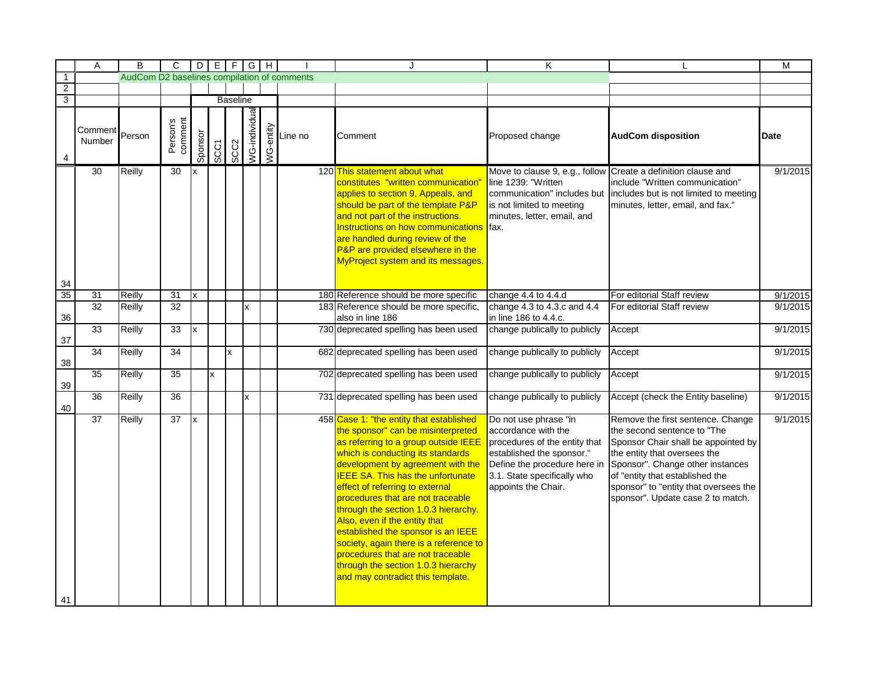|                 | A                 | B                                           | C                   |         |             |                  | $D$ $E$ $F$ $G$ $H$ |                                                                                    | J                                                                                                                                                                                                                                                                                                                                                                                                                                                                                                                                                                                              | K                                                                                                                                                                                                |                                                                                                                                                                                                                                                                                              | M           |
|-----------------|-------------------|---------------------------------------------|---------------------|---------|-------------|------------------|---------------------|------------------------------------------------------------------------------------|------------------------------------------------------------------------------------------------------------------------------------------------------------------------------------------------------------------------------------------------------------------------------------------------------------------------------------------------------------------------------------------------------------------------------------------------------------------------------------------------------------------------------------------------------------------------------------------------|--------------------------------------------------------------------------------------------------------------------------------------------------------------------------------------------------|----------------------------------------------------------------------------------------------------------------------------------------------------------------------------------------------------------------------------------------------------------------------------------------------|-------------|
| $\overline{1}$  |                   | AudCom D2 baselines compilation of comments |                     |         |             |                  |                     |                                                                                    |                                                                                                                                                                                                                                                                                                                                                                                                                                                                                                                                                                                                |                                                                                                                                                                                                  |                                                                                                                                                                                                                                                                                              |             |
| $\overline{2}$  |                   |                                             |                     |         |             |                  |                     |                                                                                    |                                                                                                                                                                                                                                                                                                                                                                                                                                                                                                                                                                                                |                                                                                                                                                                                                  |                                                                                                                                                                                                                                                                                              |             |
| $\overline{3}$  |                   |                                             |                     |         |             | <b>Baseline</b>  |                     |                                                                                    |                                                                                                                                                                                                                                                                                                                                                                                                                                                                                                                                                                                                |                                                                                                                                                                                                  |                                                                                                                                                                                                                                                                                              |             |
| 4               | Comment<br>Number | Person                                      | Person's<br>comment | Sponsor | <b>SCC1</b> | SCC <sub>2</sub> | VG-individual       | $\begin{array}{c}\n\sum_{\substack{1\\0\\0\leq x\leq n}}$<br>$\sum_{n=1}^{\infty}$ | Comment                                                                                                                                                                                                                                                                                                                                                                                                                                                                                                                                                                                        | Proposed change                                                                                                                                                                                  | <b>AudCom disposition</b>                                                                                                                                                                                                                                                                    | <b>Date</b> |
|                 | 30                | Reilly                                      | 30                  |         |             |                  |                     |                                                                                    | 120 This statement about what<br>constitutes "written communication"<br>applies to section 9, Appeals, and<br>should be part of the template P&P<br>and not part of the instructions.<br>Instructions on how communications<br>are handled during review of the<br>P&P are provided elsewhere in the<br>MyProject system and its messages.                                                                                                                                                                                                                                                     | line 1239: "Written<br>communication" includes but<br>is not limited to meeting<br>minutes, letter, email, and<br>lfax.                                                                          | Move to clause 9, e.g., follow Create a definition clause and<br>include "Written communication"<br>includes but is not limited to meeting<br>minutes, letter, email, and fax."                                                                                                              | 9/1/2015    |
| 34              |                   |                                             |                     |         |             |                  |                     |                                                                                    |                                                                                                                                                                                                                                                                                                                                                                                                                                                                                                                                                                                                |                                                                                                                                                                                                  |                                                                                                                                                                                                                                                                                              |             |
| $\overline{35}$ | 31                | Reilly                                      | 31                  | x       |             |                  |                     |                                                                                    | 180 Reference should be more specific                                                                                                                                                                                                                                                                                                                                                                                                                                                                                                                                                          | change 4.4 to 4.4.d                                                                                                                                                                              | For editorial Staff review                                                                                                                                                                                                                                                                   | 9/1/2015    |
| 36              | 32                | Reilly                                      | 32                  |         |             |                  | x                   |                                                                                    | 183 Reference should be more specific,<br>also in line 186                                                                                                                                                                                                                                                                                                                                                                                                                                                                                                                                     | change 4.3 to 4.3.c and 4.4<br>in line 186 to 4.4.c.                                                                                                                                             | For editorial Staff review                                                                                                                                                                                                                                                                   | 9/1/2015    |
| 37              | 33                | <b>Reilly</b>                               | 33                  | X       |             |                  |                     |                                                                                    | 730 deprecated spelling has been used                                                                                                                                                                                                                                                                                                                                                                                                                                                                                                                                                          | change publically to publicly                                                                                                                                                                    | Accept                                                                                                                                                                                                                                                                                       | 9/1/2015    |
| 38              | $\overline{34}$   | Reilly                                      | 34                  |         |             | x                |                     |                                                                                    | 682 deprecated spelling has been used                                                                                                                                                                                                                                                                                                                                                                                                                                                                                                                                                          | change publically to publicly                                                                                                                                                                    | Accept                                                                                                                                                                                                                                                                                       | 9/1/2015    |
| 39              | 35                | Reilly                                      | 35                  |         | x           |                  |                     |                                                                                    | 702 deprecated spelling has been used                                                                                                                                                                                                                                                                                                                                                                                                                                                                                                                                                          | change publically to publicly                                                                                                                                                                    | Accept                                                                                                                                                                                                                                                                                       | 9/1/2015    |
| 40              | 36                | <b>Reilly</b>                               | 36                  |         |             |                  | x                   |                                                                                    | 731 deprecated spelling has been used                                                                                                                                                                                                                                                                                                                                                                                                                                                                                                                                                          | change publically to publicly                                                                                                                                                                    | Accept (check the Entity baseline)                                                                                                                                                                                                                                                           | 9/1/2015    |
| 41              | 37                | Reilly                                      | 37                  | x       |             |                  |                     |                                                                                    | 458 Case 1: "the entity that established<br>the sponsor" can be misinterpreted<br>as referring to a group outside IEEE<br>which is conducting its standards<br>development by agreement with the<br><b>IEEE SA. This has the unfortunate</b><br>effect of referring to external<br>procedures that are not traceable<br>through the section 1.0.3 hierarchy.<br>Also, even if the entity that<br>established the sponsor is an IEEE<br>society, again there is a reference to<br>procedures that are not traceable<br>through the section 1.0.3 hierarchy<br>and may contradict this template. | Do not use phrase "in<br>accordance with the<br>procedures of the entity that<br>established the sponsor."<br>Define the procedure here in<br>3.1. State specifically who<br>appoints the Chair. | Remove the first sentence. Change<br>the second sentence to "The<br>Sponsor Chair shall be appointed by<br>the entity that oversees the<br>Sponsor". Change other instances<br>of "entity that established the<br>sponsor" to "entity that oversees the<br>sponsor". Update case 2 to match. | 9/1/2015    |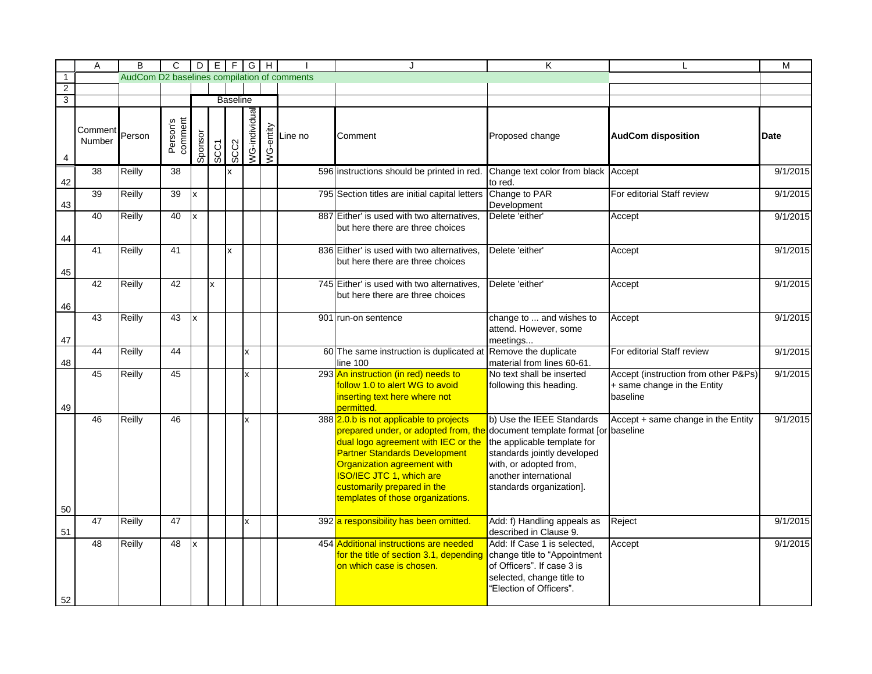|                | A                 | B                                           | C                   |         |      |                 | $D \mid E \mid F \mid G \mid H$ |                                                                                                                                                            |                                                                                                                                                                                                                                                                                                                                            | Κ                                                                                                                                                                           |                                                                                 | M        |
|----------------|-------------------|---------------------------------------------|---------------------|---------|------|-----------------|---------------------------------|------------------------------------------------------------------------------------------------------------------------------------------------------------|--------------------------------------------------------------------------------------------------------------------------------------------------------------------------------------------------------------------------------------------------------------------------------------------------------------------------------------------|-----------------------------------------------------------------------------------------------------------------------------------------------------------------------------|---------------------------------------------------------------------------------|----------|
| $\overline{1}$ |                   | AudCom D2 baselines compilation of comments |                     |         |      |                 |                                 |                                                                                                                                                            |                                                                                                                                                                                                                                                                                                                                            |                                                                                                                                                                             |                                                                                 |          |
| $\overline{2}$ |                   |                                             |                     |         |      |                 |                                 |                                                                                                                                                            |                                                                                                                                                                                                                                                                                                                                            |                                                                                                                                                                             |                                                                                 |          |
| $\overline{3}$ |                   |                                             |                     |         |      | <b>Baseline</b> |                                 |                                                                                                                                                            |                                                                                                                                                                                                                                                                                                                                            |                                                                                                                                                                             |                                                                                 |          |
| 4              | Comment<br>Number | Person                                      | Person's<br>comment | Sponsor | SCC1 | SCC2            | VG-individual                   | $\begin{array}{c}\n\sum_{\substack{1\\0\\0\\0\end{array}}$ $\begin{array}{ c }\n\hline\n\vdots \\ \hline\n\vdots \\ \hline\n\vdots \\ \hline\n\end{array}$ | Comment                                                                                                                                                                                                                                                                                                                                    | Proposed change                                                                                                                                                             | <b>AudCom disposition</b>                                                       | Date     |
| 42             | 38                | Reilly                                      | 38                  |         |      | x               |                                 |                                                                                                                                                            | 596 instructions should be printed in red.                                                                                                                                                                                                                                                                                                 | Change text color from black Accept<br>to red.                                                                                                                              |                                                                                 | 9/1/2015 |
| 43             | 39                | Reilly                                      | 39                  | x       |      |                 |                                 |                                                                                                                                                            | 795 Section titles are initial capital letters                                                                                                                                                                                                                                                                                             | Change to PAR<br>Development                                                                                                                                                | For editorial Staff review                                                      | 9/1/2015 |
| 44             | 40                | Reilly                                      | 40                  | x       |      |                 |                                 |                                                                                                                                                            | 887 Either' is used with two alternatives,<br>but here there are three choices                                                                                                                                                                                                                                                             | Delete 'either'                                                                                                                                                             | Accept                                                                          | 9/1/2015 |
| 45             | 41                | Reilly                                      | 41                  |         |      | Ιx              |                                 |                                                                                                                                                            | 836 Either' is used with two alternatives,<br>but here there are three choices                                                                                                                                                                                                                                                             | Delete 'either'                                                                                                                                                             | Accept                                                                          | 9/1/2015 |
| 46             | 42                | <b>Reilly</b>                               | 42                  |         | x    |                 |                                 |                                                                                                                                                            | 745 Either' is used with two alternatives,<br>but here there are three choices                                                                                                                                                                                                                                                             | Delete 'either'                                                                                                                                                             | Accept                                                                          | 9/1/2015 |
| 47             | 43                | Reilly                                      | 43                  | x       |      |                 |                                 |                                                                                                                                                            | 901 run-on sentence                                                                                                                                                                                                                                                                                                                        | change to  and wishes to<br>attend. However, some<br>meetings                                                                                                               | Accept                                                                          | 9/1/2015 |
| 48             | 44                | <b>Reilly</b>                               | 44                  |         |      |                 | x                               |                                                                                                                                                            | 60 The same instruction is duplicated at<br>line 100                                                                                                                                                                                                                                                                                       | Remove the duplicate<br>material from lines 60-61.                                                                                                                          | For editorial Staff review                                                      | 9/1/2015 |
| 49             | 45                | Reilly                                      | 45                  |         |      |                 | x                               |                                                                                                                                                            | 293 An instruction (in red) needs to<br>follow 1.0 to alert WG to avoid<br>inserting text here where not<br>permitted.                                                                                                                                                                                                                     | No text shall be inserted<br>following this heading.                                                                                                                        | Accept (instruction from other P&Ps)<br>+ same change in the Entity<br>baseline | 9/1/2015 |
| 50             | 46                | <b>Reilly</b>                               | 46                  |         |      |                 | x                               |                                                                                                                                                            | 388 2.0.b is not applicable to projects<br>prepared under, or adopted from, the document template format [or baseline<br>dual logo agreement with IEC or the<br><b>Partner Standards Development</b><br>Organization agreement with<br><b>ISO/IEC JTC 1, which are</b><br>customarily prepared in the<br>templates of those organizations. | b) Use the IEEE Standards<br>the applicable template for<br>standards jointly developed<br>with, or adopted from,<br>another international<br>standards organization].      | Accept + same change in the Entity                                              | 9/1/2015 |
|                | $\overline{47}$   | Reilly                                      | 47                  |         |      |                 | x                               |                                                                                                                                                            | 392 a responsibility has been omitted.                                                                                                                                                                                                                                                                                                     | Add: f) Handling appeals as                                                                                                                                                 | Reject                                                                          | 9/1/2015 |
| 51<br>52       | 48                | Reilly                                      | 48                  |         |      |                 |                                 |                                                                                                                                                            | 454 Additional instructions are needed<br>for the title of section 3.1, depending<br>on which case is chosen.                                                                                                                                                                                                                              | described in Clause 9.<br>Add: If Case 1 is selected.<br>change title to "Appointment<br>of Officers". If case 3 is<br>selected, change title to<br>"Election of Officers". | Accept                                                                          | 9/1/2015 |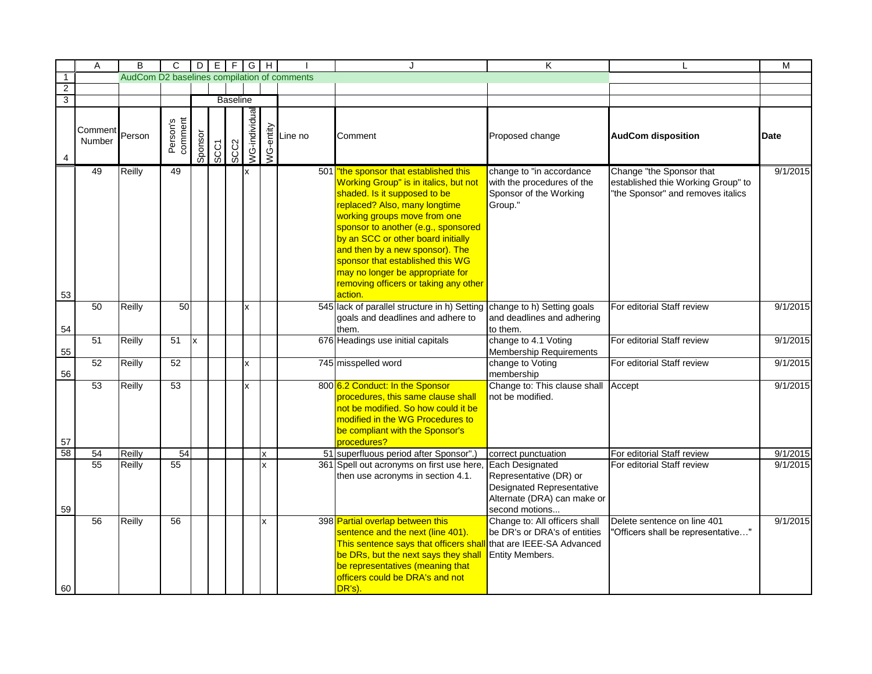|                | A                 | B                                           | C                   |         |             | $D E F G H$     |               |             |                                  | J                                                                                                                                                                                                                                                                                                                                                                                                                           | K                                                                                                                                     |                                                                                                     | M        |
|----------------|-------------------|---------------------------------------------|---------------------|---------|-------------|-----------------|---------------|-------------|----------------------------------|-----------------------------------------------------------------------------------------------------------------------------------------------------------------------------------------------------------------------------------------------------------------------------------------------------------------------------------------------------------------------------------------------------------------------------|---------------------------------------------------------------------------------------------------------------------------------------|-----------------------------------------------------------------------------------------------------|----------|
| $\overline{1}$ |                   | AudCom D2 baselines compilation of comments |                     |         |             |                 |               |             |                                  |                                                                                                                                                                                                                                                                                                                                                                                                                             |                                                                                                                                       |                                                                                                     |          |
| $\overline{2}$ |                   |                                             |                     |         |             |                 |               |             |                                  |                                                                                                                                                                                                                                                                                                                                                                                                                             |                                                                                                                                       |                                                                                                     |          |
| $\overline{3}$ |                   |                                             |                     |         |             | <b>Baseline</b> |               |             |                                  |                                                                                                                                                                                                                                                                                                                                                                                                                             |                                                                                                                                       |                                                                                                     |          |
| 4              | Comment<br>Number | Person                                      | Person's<br>comment | Sponsor | <b>SCC1</b> | SCC2            | VG-individual |             | Ventine no<br>Dine no<br>Dine no | Comment                                                                                                                                                                                                                                                                                                                                                                                                                     | Proposed change                                                                                                                       | <b>AudCom disposition</b>                                                                           | Date     |
| 53             | 49                | Reilly                                      | 49                  |         |             |                 | x             |             |                                  | 501 The sponsor that established this<br>Working Group" is in italics, but not<br>shaded. Is it supposed to be<br>replaced? Also, many longtime<br>working groups move from one<br>sponsor to another (e.g., sponsored<br>by an SCC or other board initially<br>and then by a new sponsor). The<br>sponsor that established this WG<br>may no longer be appropriate for<br>removing officers or taking any other<br>action. | change to "in accordance<br>with the procedures of the<br>Sponsor of the Working<br>Group."                                           | Change "the Sponsor that<br>established thie Working Group" to<br>"the Sponsor" and removes italics | 9/1/2015 |
| 54             | 50                | Reilly                                      | 50                  |         |             |                 | x             |             |                                  | 545 lack of parallel structure in h) Setting<br>goals and deadlines and adhere to<br>them.                                                                                                                                                                                                                                                                                                                                  | change to h) Setting goals<br>and deadlines and adhering<br>to them.                                                                  | For editorial Staff review                                                                          | 9/1/2015 |
| 55             | 51                | Reilly                                      | 51                  | x       |             |                 |               |             |                                  | 676 Headings use initial capitals                                                                                                                                                                                                                                                                                                                                                                                           | change to 4.1 Voting<br><b>Membership Requirements</b>                                                                                | For editorial Staff review                                                                          | 9/1/2015 |
| 56             | 52                | Reilly                                      | 52                  |         |             |                 | x             |             |                                  | 745 misspelled word                                                                                                                                                                                                                                                                                                                                                                                                         | change to Voting<br>membership                                                                                                        | For editorial Staff review                                                                          | 9/1/2015 |
| 57             | 53                | Reilly                                      | 53                  |         |             |                 | x             |             |                                  | 800 6.2 Conduct: In the Sponsor<br>procedures, this same clause shall<br>not be modified. So how could it be<br>modified in the WG Procedures to<br>be compliant with the Sponsor's<br>procedures?                                                                                                                                                                                                                          | Change to: This clause shall Accept<br>not be modified.                                                                               |                                                                                                     | 9/1/2015 |
| 58             | 54                | Reilly                                      | 54                  |         |             |                 |               | x           |                                  | 51 superfluous period after Sponsor".)                                                                                                                                                                                                                                                                                                                                                                                      | correct punctuation                                                                                                                   | For editorial Staff review                                                                          | 9/1/2015 |
| 59             | 55                | Reilly                                      | 55                  |         |             |                 |               | $\mathbf x$ |                                  | 361 Spell out acronyms on first use here,<br>then use acronyms in section 4.1.                                                                                                                                                                                                                                                                                                                                              | <b>Each Designated</b><br>Representative (DR) or<br><b>Designated Representative</b><br>Alternate (DRA) can make or<br>second motions | For editorial Staff review                                                                          | 9/1/2015 |
| 60             | 56                | Reilly                                      | 56                  |         |             |                 |               | x           |                                  | 398 Partial overlap between this<br>sentence and the next (line 401).<br>This sentence says that officers shall that are IEEE-SA Advanced<br>be DRs, but the next says they shall<br>be representatives (meaning that<br>officers could be DRA's and not<br>DR's).                                                                                                                                                          | Change to: All officers shall<br>be DR's or DRA's of entities<br><b>Entity Members.</b>                                               | Delete sentence on line 401<br>"Officers shall be representative"                                   | 9/1/2015 |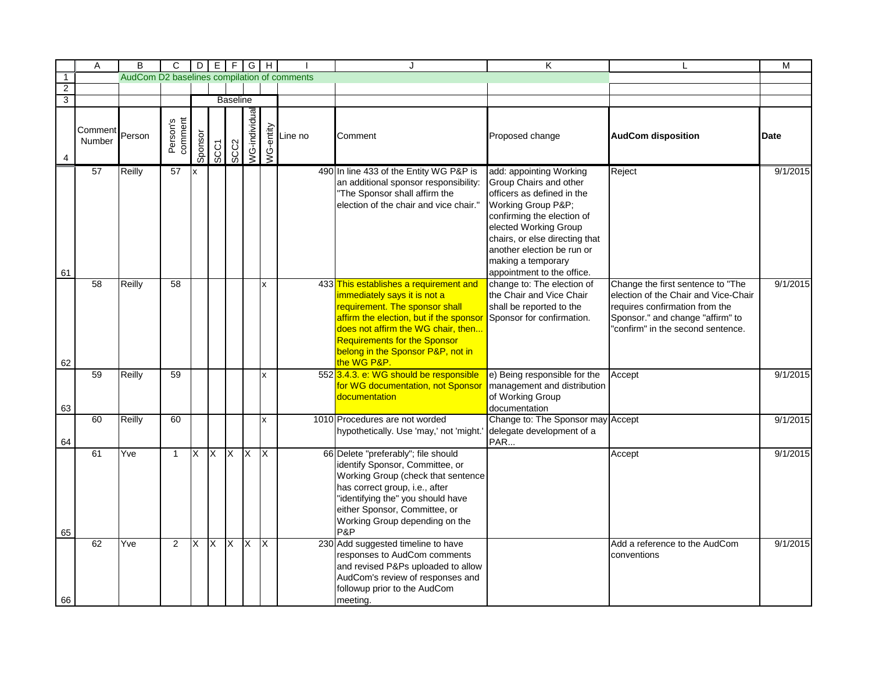|                                           | Α                 | B                                           | C                   |                        |             |                 | $D$ $E$ $F$ $G$ $H$  |    |                                                                                                                                                                                      | J                                                                                                                                                                                                                                                                                    | K                                                                                                                                                                                                                                                 |                                                                                                                                                                                      | M           |
|-------------------------------------------|-------------------|---------------------------------------------|---------------------|------------------------|-------------|-----------------|----------------------|----|--------------------------------------------------------------------------------------------------------------------------------------------------------------------------------------|--------------------------------------------------------------------------------------------------------------------------------------------------------------------------------------------------------------------------------------------------------------------------------------|---------------------------------------------------------------------------------------------------------------------------------------------------------------------------------------------------------------------------------------------------|--------------------------------------------------------------------------------------------------------------------------------------------------------------------------------------|-------------|
| $\overline{1}$                            |                   | AudCom D2 baselines compilation of comments |                     |                        |             |                 |                      |    |                                                                                                                                                                                      |                                                                                                                                                                                                                                                                                      |                                                                                                                                                                                                                                                   |                                                                                                                                                                                      |             |
| $\overline{2}$<br>$\overline{\mathbf{3}}$ |                   |                                             |                     |                        |             |                 |                      |    |                                                                                                                                                                                      |                                                                                                                                                                                                                                                                                      |                                                                                                                                                                                                                                                   |                                                                                                                                                                                      |             |
|                                           |                   |                                             |                     |                        |             | <b>Baseline</b> |                      |    |                                                                                                                                                                                      |                                                                                                                                                                                                                                                                                      |                                                                                                                                                                                                                                                   |                                                                                                                                                                                      |             |
| 4                                         | Comment<br>Number | Person                                      | Person's<br>comment | Sponsor                | <b>SCC1</b> | SCC2            | <b>VG-individual</b> |    | $\begin{array}{c}\n\sum_{\substack{\longleftarrow\\ \longleftarrow\\ \longleftarrow}}\text{Line no} \\ \sum_{\substack{\longleftarrow\\ \longleftarrow}}\text{Line no}\n\end{array}$ | Comment                                                                                                                                                                                                                                                                              | Proposed change                                                                                                                                                                                                                                   | <b>AudCom disposition</b>                                                                                                                                                            | <b>Date</b> |
|                                           | 57                | Reilly                                      | 57                  | $\mathsf{I}\mathsf{x}$ |             |                 |                      |    |                                                                                                                                                                                      | 490 In line 433 of the Entity WG P&P is<br>an additional sponsor responsibility:<br>"The Sponsor shall affirm the<br>election of the chair and vice chair."                                                                                                                          | add: appointing Working<br>Group Chairs and other<br>officers as defined in the<br>Working Group P&P<br>confirming the election of<br>elected Working Group<br>chairs, or else directing that<br>another election be run or<br>making a temporary | Reject                                                                                                                                                                               | 9/1/2015    |
| 61                                        |                   |                                             |                     |                        |             |                 |                      |    |                                                                                                                                                                                      |                                                                                                                                                                                                                                                                                      | appointment to the office.                                                                                                                                                                                                                        |                                                                                                                                                                                      |             |
| 62                                        | 58                | Reilly                                      | 58                  |                        |             |                 |                      | Ιx |                                                                                                                                                                                      | 433 This establishes a requirement and<br>immediately says it is not a<br>requirement. The sponsor shall<br>affirm the election, but if the sponsor<br>does not affirm the WG chair, then<br><b>Requirements for the Sponsor</b><br>belong in the Sponsor P&P, not in<br>the WG P&P. | change to: The election of<br>the Chair and Vice Chair<br>shall be reported to the<br>Sponsor for confirmation.                                                                                                                                   | Change the first sentence to "The<br>election of the Chair and Vice-Chair<br>requires confirmation from the<br>Sponsor." and change "affirm" to<br>"confirm" in the second sentence. | 9/1/2015    |
|                                           | $\overline{59}$   | Reilly                                      | 59                  |                        |             |                 |                      | Ιx |                                                                                                                                                                                      | 552 3.4.3. e: WG should be responsible<br>for WG documentation, not Sponsor<br>documentation                                                                                                                                                                                         | e) Being responsible for the<br>management and distribution<br>of Working Group                                                                                                                                                                   | Accept                                                                                                                                                                               | 9/1/2015    |
| 63                                        |                   |                                             |                     |                        |             |                 |                      |    |                                                                                                                                                                                      |                                                                                                                                                                                                                                                                                      | documentation                                                                                                                                                                                                                                     |                                                                                                                                                                                      |             |
| 64                                        | 60                | Reilly                                      | 60                  |                        |             |                 |                      | Ιx |                                                                                                                                                                                      | 1010 Procedures are not worded<br>hypothetically. Use 'may,' not 'might.'                                                                                                                                                                                                            | Change to: The Sponsor may Accept<br>delegate development of a<br>PAR                                                                                                                                                                             |                                                                                                                                                                                      | 9/1/2015    |
| 65                                        | 61                | Yve                                         | $\mathbf{1}$        | IX                     | <b>X</b>    | $\overline{X}$  | <b>X</b>             | IX |                                                                                                                                                                                      | 66 Delete "preferably"; file should<br>identify Sponsor, Committee, or<br>Working Group (check that sentence<br>has correct group, i.e., after<br>"identifying the" you should have<br>either Sponsor, Committee, or<br>Working Group depending on the<br>P&P                        |                                                                                                                                                                                                                                                   | Accept                                                                                                                                                                               | 9/1/2015    |
| 66                                        | 62                | Yve                                         | $\overline{2}$      | X                      | $X$ $X$     |                 | $\overline{X}$       | IX |                                                                                                                                                                                      | 230 Add suggested timeline to have<br>responses to AudCom comments<br>and revised P&Ps uploaded to allow<br>AudCom's review of responses and<br>followup prior to the AudCom<br>meeting.                                                                                             |                                                                                                                                                                                                                                                   | Add a reference to the AudCom<br>conventions                                                                                                                                         | 9/1/2015    |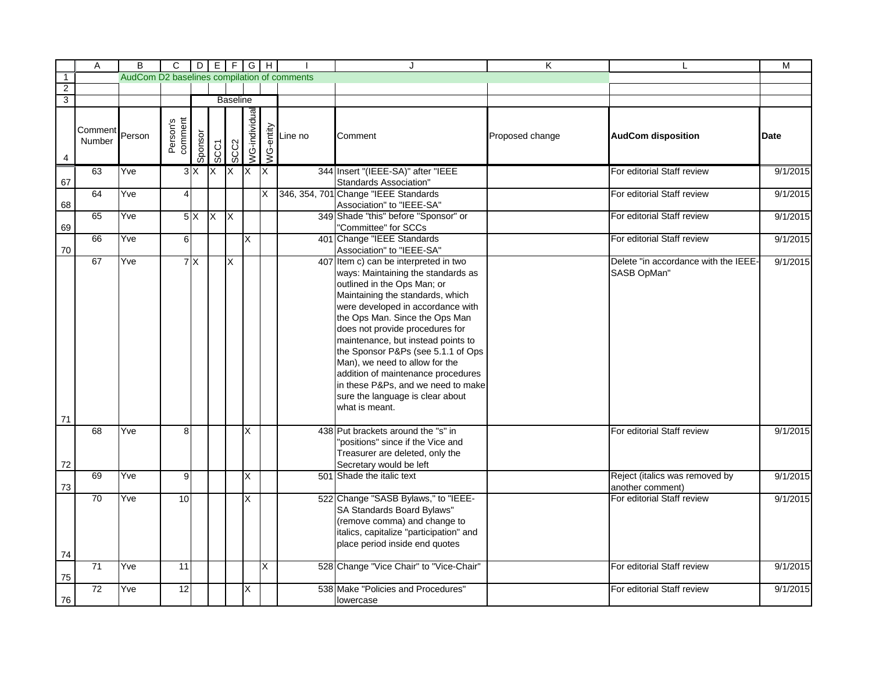|                | A                 | B                                           | $\overline{C}$      |         | $D[E F G H]$   |                         |                |                         |                                                                 | J.                                                                                                                                                                                                                                                                                                                                                                                                                                                                                                       | K               |                                                     | М        |
|----------------|-------------------|---------------------------------------------|---------------------|---------|----------------|-------------------------|----------------|-------------------------|-----------------------------------------------------------------|----------------------------------------------------------------------------------------------------------------------------------------------------------------------------------------------------------------------------------------------------------------------------------------------------------------------------------------------------------------------------------------------------------------------------------------------------------------------------------------------------------|-----------------|-----------------------------------------------------|----------|
| $\overline{1}$ |                   | AudCom D2 baselines compilation of comments |                     |         |                |                         |                |                         |                                                                 |                                                                                                                                                                                                                                                                                                                                                                                                                                                                                                          |                 |                                                     |          |
| $\overline{2}$ |                   |                                             |                     |         |                |                         |                |                         |                                                                 |                                                                                                                                                                                                                                                                                                                                                                                                                                                                                                          |                 |                                                     |          |
| $\overline{3}$ |                   |                                             |                     |         |                | <b>Baseline</b>         |                |                         |                                                                 |                                                                                                                                                                                                                                                                                                                                                                                                                                                                                                          |                 |                                                     |          |
| 4              | Comment<br>Number | Person                                      | Person's<br>comment | Sponsor | SCC1           | SCC <sub>2</sub>        | /VG-individual |                         | $\begin{array}{c}\n\sum_{\substack{1\\0\\0\leq x\leq x\leq y}}$ | Comment                                                                                                                                                                                                                                                                                                                                                                                                                                                                                                  | Proposed change | <b>AudCom disposition</b>                           | Date     |
| 67             | 63                | Yve                                         |                     | 3X      | <b>X</b>       | $\overline{\mathsf{X}}$ | $\overline{X}$ | $\overline{\mathsf{X}}$ |                                                                 | 344 Insert "(IEEE-SA)" after "IEEE<br><b>Standards Association"</b>                                                                                                                                                                                                                                                                                                                                                                                                                                      |                 | For editorial Staff review                          | 9/1/2015 |
| 68             | 64                | Yve                                         | $\overline{4}$      |         |                |                         |                | X                       |                                                                 | 346, 354, 701 Change "IEEE Standards<br>Association" to "IEEE-SA"                                                                                                                                                                                                                                                                                                                                                                                                                                        |                 | For editorial Staff review                          | 9/1/2015 |
| 69             | 65                | Yve                                         |                     | 5X      | $\overline{X}$ | $\overline{\mathsf{X}}$ |                |                         |                                                                 | 349 Shade "this" before "Sponsor" or<br>"Committee" for SCCs                                                                                                                                                                                                                                                                                                                                                                                                                                             |                 | For editorial Staff review                          | 9/1/2015 |
| 70             | 66                | Yve                                         | $\overline{6}$      |         |                |                         | X              |                         |                                                                 | 401 Change "IEEE Standards<br>Association" to "IEEE-SA"                                                                                                                                                                                                                                                                                                                                                                                                                                                  |                 | For editorial Staff review                          | 9/1/2015 |
|                | 67                | Yve                                         |                     | 7X      |                | X                       |                |                         |                                                                 | 407 Item c) can be interpreted in two<br>ways: Maintaining the standards as<br>outlined in the Ops Man; or<br>Maintaining the standards, which<br>were developed in accordance with<br>the Ops Man. Since the Ops Man<br>does not provide procedures for<br>maintenance, but instead points to<br>the Sponsor P&Ps (see 5.1.1 of Ops<br>Man), we need to allow for the<br>addition of maintenance procedures<br>in these P&Ps, and we need to make<br>sure the language is clear about<br>what is meant. |                 | Delete "in accordance with the IEEE-<br>SASB OpMan" | 9/1/2015 |
| 71             | 68                | Yve                                         | 8                   |         |                |                         | X              |                         |                                                                 | 438 Put brackets around the "s" in                                                                                                                                                                                                                                                                                                                                                                                                                                                                       |                 | For editorial Staff review                          | 9/1/2015 |
| 72             |                   |                                             |                     |         |                |                         |                |                         |                                                                 | 'positions" since if the Vice and<br>Treasurer are deleted, only the<br>Secretary would be left                                                                                                                                                                                                                                                                                                                                                                                                          |                 |                                                     |          |
| 73             | 69                | Yve                                         | 9                   |         |                |                         | X              |                         |                                                                 | 501 Shade the italic text                                                                                                                                                                                                                                                                                                                                                                                                                                                                                |                 | Reject (italics was removed by<br>another comment)  | 9/1/2015 |
| 74             | 70                | Yve                                         | 10                  |         |                |                         | X              |                         |                                                                 | 522 Change "SASB Bylaws," to "IEEE-<br>SA Standards Board Bylaws"<br>(remove comma) and change to<br>italics, capitalize "participation" and<br>place period inside end quotes                                                                                                                                                                                                                                                                                                                           |                 | For editorial Staff review                          | 9/1/2015 |
| 75             | 71                | Yve                                         | 11                  |         |                |                         |                | X                       |                                                                 | 528 Change "Vice Chair" to "Vice-Chair"                                                                                                                                                                                                                                                                                                                                                                                                                                                                  |                 | For editorial Staff review                          | 9/1/2015 |
| 76             | 72                | Yve                                         | 12                  |         |                |                         | X              |                         |                                                                 | 538 Make "Policies and Procedures"<br>lowercase                                                                                                                                                                                                                                                                                                                                                                                                                                                          |                 | For editorial Staff review                          | 9/1/2015 |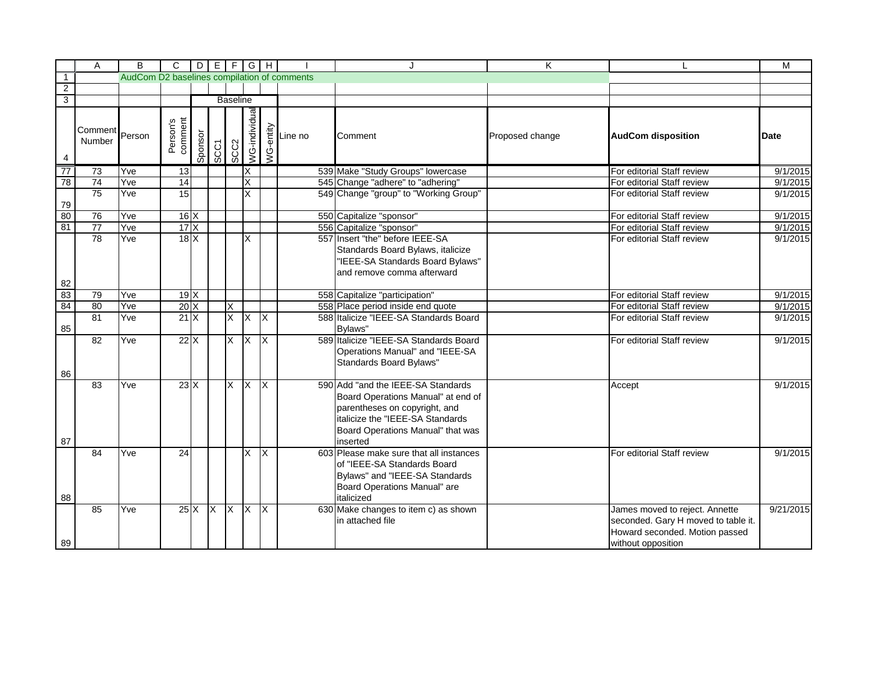|                | A                           | B                                           | $\mathbf{C}$        |         |             |                         | $D E F G H$             |               |                       |                                                                                                                                                                                                | K               |                                                                                                                               | $\overline{M}$ |
|----------------|-----------------------------|---------------------------------------------|---------------------|---------|-------------|-------------------------|-------------------------|---------------|-----------------------|------------------------------------------------------------------------------------------------------------------------------------------------------------------------------------------------|-----------------|-------------------------------------------------------------------------------------------------------------------------------|----------------|
| $\overline{1}$ |                             | AudCom D2 baselines compilation of comments |                     |         |             |                         |                         |               |                       |                                                                                                                                                                                                |                 |                                                                                                                               |                |
| $\overline{2}$ |                             |                                             |                     |         |             |                         |                         |               |                       |                                                                                                                                                                                                |                 |                                                                                                                               |                |
| $\overline{3}$ |                             |                                             |                     |         |             | <b>Baseline</b>         |                         |               |                       |                                                                                                                                                                                                |                 |                                                                                                                               |                |
|                | Comment<br>Person<br>Number |                                             | Person's<br>comment | Sponsor | <b>SCC1</b> | SCC2                    | /VG-individual          | $\frac{1}{2}$ | $\frac{2}{5}$ Line no | Comment                                                                                                                                                                                        | Proposed change | <b>AudCom disposition</b>                                                                                                     | Date           |
| 77             | 73                          | Yve                                         | 13                  |         |             |                         | X                       |               |                       | 539 Make "Study Groups" lowercase                                                                                                                                                              |                 | For editorial Staff review                                                                                                    | 9/1/2015       |
| 78             | 74                          | Yve                                         | $\overline{14}$     |         |             |                         | X                       |               |                       | 545 Change "adhere" to "adhering"                                                                                                                                                              |                 | For editorial Staff review                                                                                                    | 9/1/2015       |
| 79             | $\overline{75}$             | Yve                                         | 15                  |         |             |                         | X                       |               |                       | 549 Change "group" to "Working Group"                                                                                                                                                          |                 | For editorial Staff review                                                                                                    | 9/1/2015       |
| 80             | 76                          | Yve                                         | $16 \times$         |         |             |                         |                         |               |                       | 550 Capitalize "sponsor"                                                                                                                                                                       |                 | For editorial Staff review                                                                                                    | 9/1/2015       |
| 81             | $\overline{77}$             | Yve                                         | 17X                 |         |             |                         |                         |               |                       | 556 Capitalize "sponsor"                                                                                                                                                                       |                 | For editorial Staff review                                                                                                    | 9/1/2015       |
|                | 78                          | Yve                                         | 18X                 |         |             |                         | X                       |               |                       | 557 Insert "the" before IEEE-SA<br>Standards Board Bylaws, italicize<br>"IEEE-SA Standards Board Bylaws"<br>and remove comma afterward                                                         |                 | For editorial Staff review                                                                                                    | 9/1/2015       |
| 82             |                             |                                             |                     |         |             |                         |                         |               |                       |                                                                                                                                                                                                |                 |                                                                                                                               |                |
| 83<br>84       | 79                          | Yve                                         | 19X                 |         |             |                         |                         |               |                       | 558 Capitalize "participation"                                                                                                                                                                 |                 | For editorial Staff review                                                                                                    | 9/1/2015       |
|                | 80                          | Yve                                         | 20X                 |         |             | $\overline{\mathsf{x}}$ |                         |               |                       | 558 Place period inside end quote                                                                                                                                                              |                 | For editorial Staff review                                                                                                    | 9/1/2015       |
| 85             | $\overline{81}$             | Yve                                         | 21X                 |         |             | X                       | $\overline{X}$          | X             |                       | 588 Italicize "IEEE-SA Standards Board<br>Bylaws"                                                                                                                                              |                 | For editorial Staff review                                                                                                    | 9/1/2015       |
| 86             | 82                          | Yve                                         | 22X                 |         |             | X                       | <b>X</b>                | Ix.           |                       | 589 Italicize "IEEE-SA Standards Board<br>Operations Manual" and "IEEE-SA<br>Standards Board Bylaws"                                                                                           |                 | For editorial Staff review                                                                                                    | 9/1/2015       |
| 87             | 83                          | Yve                                         | $23\text{X}$        |         |             | X                       | $\overline{\mathsf{x}}$ | Ix.           |                       | 590 Add "and the IEEE-SA Standards<br>Board Operations Manual" at end of<br>parentheses on copyright, and<br>italicize the "IEEE-SA Standards<br>Board Operations Manual" that was<br>inserted |                 | Accept                                                                                                                        | 9/1/2015       |
| 88             | 84                          | Yve                                         | 24                  |         |             |                         | X.                      | ΙX            |                       | 603 Please make sure that all instances<br>of "IEEE-SA Standards Board<br>Bylaws" and "IEEE-SA Standards<br>Board Operations Manual" are<br>italicized                                         |                 | For editorial Staff review                                                                                                    | 9/1/2015       |
| 89             | 85                          | Yve                                         | $25\text{X}$        |         | $X$ $X$     |                         | $\overline{X}$          | Ix.           |                       | 630 Make changes to item c) as shown<br>in attached file                                                                                                                                       |                 | James moved to reject. Annette<br>seconded. Gary H moved to table it.<br>Howard seconded. Motion passed<br>without opposition | 9/21/2015      |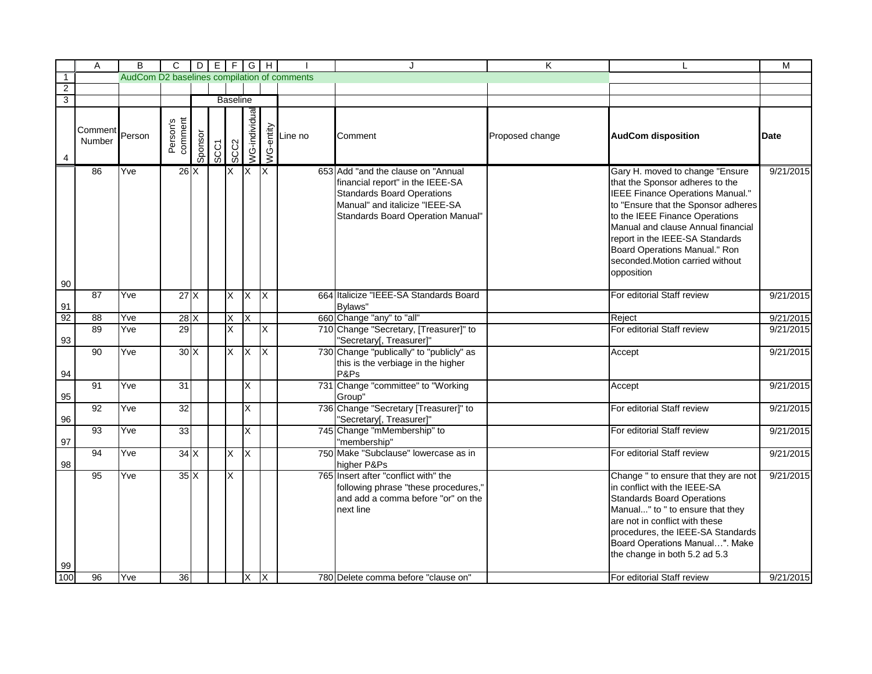|                | Α                 | В                                           | $\mathsf{C}$        |         | $D   E   F   G   H$ |                 |                         |                         |         | J                                                                                                                                                                                          | K               |                                                                                                                                                                                                                                                                                                                                            | М         |
|----------------|-------------------|---------------------------------------------|---------------------|---------|---------------------|-----------------|-------------------------|-------------------------|---------|--------------------------------------------------------------------------------------------------------------------------------------------------------------------------------------------|-----------------|--------------------------------------------------------------------------------------------------------------------------------------------------------------------------------------------------------------------------------------------------------------------------------------------------------------------------------------------|-----------|
| $\overline{1}$ |                   | AudCom D2 baselines compilation of comments |                     |         |                     |                 |                         |                         |         |                                                                                                                                                                                            |                 |                                                                                                                                                                                                                                                                                                                                            |           |
| $\overline{2}$ |                   |                                             |                     |         |                     |                 |                         |                         |         |                                                                                                                                                                                            |                 |                                                                                                                                                                                                                                                                                                                                            |           |
| $\overline{3}$ |                   |                                             |                     |         |                     | <b>Baseline</b> |                         |                         |         |                                                                                                                                                                                            |                 |                                                                                                                                                                                                                                                                                                                                            |           |
|                | Comment<br>Number | Person                                      | Person's<br>comment | Sponsor | <b>SCC1</b>         | SCC2            | <b>NG-individual</b>    | WG-entity               | Line no | Comment                                                                                                                                                                                    | Proposed change | <b>AudCom disposition</b>                                                                                                                                                                                                                                                                                                                  | Date      |
| 90             | 86                | Yve                                         | 26X                 |         |                     | X               | $\mathsf{X}$            | $\mathsf{X}$            |         | 653 Add "and the clause on "Annual"<br>financial report" in the IEEE-SA<br><b>Standards Board Operations</b><br>Manual" and italicize "IEEE-SA<br><b>Standards Board Operation Manual"</b> |                 | Gary H. moved to change "Ensure<br>that the Sponsor adheres to the<br>IEEE Finance Operations Manual."<br>to "Ensure that the Sponsor adheres<br>to the IEEE Finance Operations<br>Manual and clause Annual financial<br>report in the IEEE-SA Standards<br>Board Operations Manual." Ron<br>seconded.Motion carried without<br>opposition | 9/21/2015 |
| 91             | 87                | Yve                                         | 27X                 |         |                     | X               | $\overline{X}$          | $\overline{X}$          |         | 664 Italicize "IEEE-SA Standards Board<br>Bylaws"                                                                                                                                          |                 | For editorial Staff review                                                                                                                                                                                                                                                                                                                 | 9/21/2015 |
| 92             | 88                | Yve                                         | 28X                 |         |                     | X               | X                       |                         |         | 660 Change "any" to "all"                                                                                                                                                                  |                 | Reject                                                                                                                                                                                                                                                                                                                                     | 9/21/2015 |
| 93             | 89                | Yve                                         | 29                  |         |                     | X               |                         | X                       |         | 710 Change "Secretary, [Treasurer]" to<br>"Secretary[, Treasurer]"                                                                                                                         |                 | For editorial Staff review                                                                                                                                                                                                                                                                                                                 | 9/21/2015 |
| 94             | 90                | Yve                                         | 30X                 |         |                     | X               | $\overline{\mathsf{x}}$ | $\overline{\mathsf{X}}$ |         | 730 Change "publically" to "publicly" as<br>this is the verbiage in the higher<br>P&Ps                                                                                                     |                 | Accept                                                                                                                                                                                                                                                                                                                                     | 9/21/2015 |
| 95             | 91                | Yve                                         | 31                  |         |                     |                 | X.                      |                         |         | 731 Change "committee" to "Working<br>Group"                                                                                                                                               |                 | Accept                                                                                                                                                                                                                                                                                                                                     | 9/21/2015 |
| 96             | 92                | Yve                                         | 32                  |         |                     |                 | X                       |                         |         | 736 Change "Secretary [Treasurer]" to<br>"Secretary[, Treasurer]"                                                                                                                          |                 | For editorial Staff review                                                                                                                                                                                                                                                                                                                 | 9/21/2015 |
| 97             | 93                | Yve                                         | 33                  |         |                     |                 | X                       |                         |         | 745 Change "mMembership" to<br>"membership"                                                                                                                                                |                 | For editorial Staff review                                                                                                                                                                                                                                                                                                                 | 9/21/2015 |
| 98             | 94                | Yve                                         | 34X                 |         |                     | X               | X                       |                         |         | 750 Make "Subclause" lowercase as in<br>higher P&Ps                                                                                                                                        |                 | For editorial Staff review                                                                                                                                                                                                                                                                                                                 | 9/21/2015 |
| 99             | 95                | Yve                                         | 35X                 |         |                     | X               |                         |                         |         | 765 Insert after "conflict with" the<br>following phrase "these procedures,"<br>and add a comma before "or" on the<br>next line                                                            |                 | Change " to ensure that they are not<br>in conflict with the IEEE-SA<br><b>Standards Board Operations</b><br>Manual" to " to ensure that they<br>are not in conflict with these<br>procedures, the IEEE-SA Standards<br>Board Operations Manual". Make<br>the change in both 5.2 ad 5.3                                                    | 9/21/2015 |
| 100            | 96                | Yve                                         | 36                  |         |                     |                 | X                       | ΙX                      |         | 780 Delete comma before "clause on"                                                                                                                                                        |                 | For editorial Staff review                                                                                                                                                                                                                                                                                                                 | 9/21/2015 |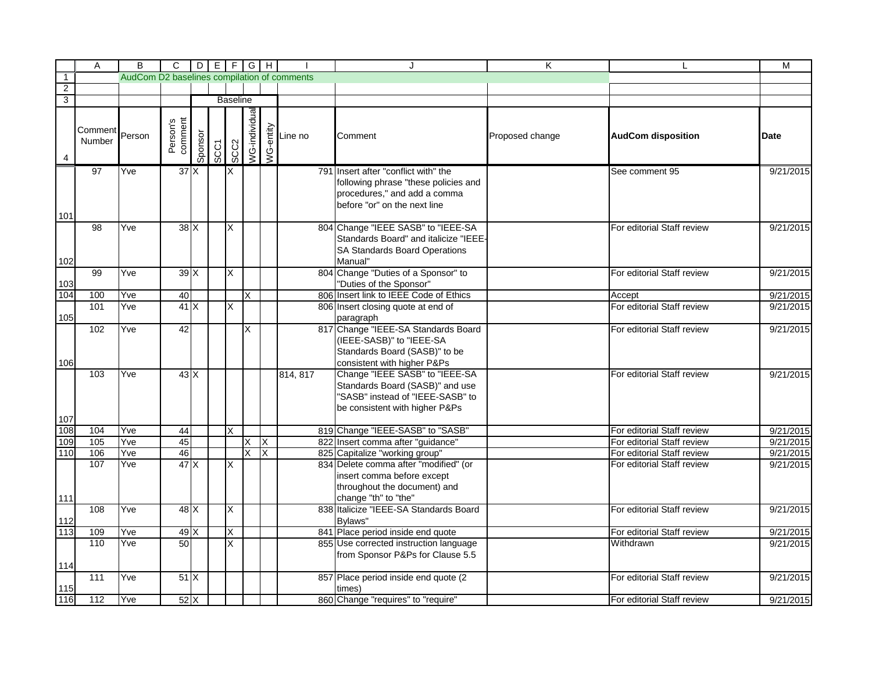|                | A                 | B                                           | $\overline{C}$      |         | $DE$ $F$ $G$ $H$ |                         |                      |           |          |                                                                                                                                              | K               |                            | M         |
|----------------|-------------------|---------------------------------------------|---------------------|---------|------------------|-------------------------|----------------------|-----------|----------|----------------------------------------------------------------------------------------------------------------------------------------------|-----------------|----------------------------|-----------|
| $\overline{1}$ |                   | AudCom D2 baselines compilation of comments |                     |         |                  |                         |                      |           |          |                                                                                                                                              |                 |                            |           |
| $\overline{2}$ |                   |                                             |                     |         |                  |                         |                      |           |          |                                                                                                                                              |                 |                            |           |
| $\overline{3}$ |                   |                                             |                     |         |                  | <b>Baseline</b>         |                      |           |          |                                                                                                                                              |                 |                            |           |
|                | Comment<br>Number | Person                                      | Person's<br>comment | Sponsor | <b>SCC1</b>      | SCC2                    | <b>NG-individual</b> | WG-entity | Line no  | Comment                                                                                                                                      | Proposed change | <b>AudCom disposition</b>  | Date      |
| 101            | 97                | Yve                                         | 37 <sup>2</sup>     |         |                  | X                       |                      |           |          | 791 Insert after "conflict with" the<br>following phrase "these policies and<br>procedures," and add a comma<br>before "or" on the next line |                 | See comment 95             | 9/21/2015 |
| 102            | 98                | Yve                                         | $38$ $X$            |         |                  | X                       |                      |           |          | 804 Change "IEEE SASB" to "IEEE-SA<br>Standards Board" and italicize "IEEE-<br><b>SA Standards Board Operations</b><br>Manual"               |                 | For editorial Staff review | 9/21/2015 |
| 103            | 99                | Yve                                         | 39X                 |         |                  | X                       |                      |           |          | 804 Change "Duties of a Sponsor" to<br>"Duties of the Sponsor"                                                                               |                 | For editorial Staff review | 9/21/2015 |
| 104            | 100               | Yve                                         | 40                  |         |                  |                         | X.                   |           |          | 806 Insert link to IEEE Code of Ethics                                                                                                       |                 | Accept                     | 9/21/2015 |
| 105            | 101               | Yve                                         | 41X                 |         |                  | X                       |                      |           |          | 806 Insert closing quote at end of<br>paragraph                                                                                              |                 | For editorial Staff review | 9/21/2015 |
| 106            | 102               | Yve                                         | 42                  |         |                  |                         | X                    |           |          | 817 Change "IEEE-SA Standards Board<br>(IEEE-SASB)" to "IEEE-SA<br>Standards Board (SASB)" to be<br>consistent with higher P&Ps              |                 | For editorial Staff review | 9/21/2015 |
|                | 103               | Yve                                         | $43\text{X}$        |         |                  |                         |                      |           | 814, 817 | Change "IEEE SASB" to "IEEE-SA<br>Standards Board (SASB)" and use<br>"SASB" instead of "IEEE-SASB" to<br>be consistent with higher P&Ps      |                 | For editorial Staff review | 9/21/2015 |
| 107            |                   |                                             |                     |         |                  |                         |                      |           |          |                                                                                                                                              |                 |                            |           |
| 108            | 104               | Yve                                         | 44                  |         |                  | X                       |                      |           |          | 819 Change "IEEE-SASB" to "SASB"                                                                                                             |                 | For editorial Staff review | 9/21/2015 |
| 109            | 105               | Yve                                         | 45                  |         |                  |                         | X.                   | X         |          | 822 Insert comma after "guidance"                                                                                                            |                 | For editorial Staff review | 9/21/2015 |
| 110            | 106               | Yve                                         | 46                  |         |                  |                         | X                    | X         |          | 825 Capitalize "working group"                                                                                                               |                 | For editorial Staff review | 9/21/2015 |
| 111            | 107               | Yve                                         | 47X                 |         |                  | $\overline{\mathsf{x}}$ |                      |           |          | 834 Delete comma after "modified" (or<br>insert comma before except<br>throughout the document) and<br>change "th" to "the"                  |                 | For editorial Staff review | 9/21/2015 |
| 112            | 108               | Yve                                         | 48X                 |         |                  | X                       |                      |           |          | 838 Italicize "IEEE-SA Standards Board<br>Bylaws"                                                                                            |                 | For editorial Staff review | 9/21/2015 |
| 113            | 109               | Yve                                         | 49X                 |         |                  | X                       |                      |           |          | 841 Place period inside end quote                                                                                                            |                 | For editorial Staff review | 9/21/2015 |
| 114            | 110               | Yve                                         | 50                  |         |                  | X                       |                      |           |          | 855 Use corrected instruction language<br>from Sponsor P&Ps for Clause 5.5                                                                   |                 | Withdrawn                  | 9/21/2015 |
| 115            | 111               | Yve                                         | 51X                 |         |                  |                         |                      |           |          | 857 Place period inside end quote (2<br>times)                                                                                               |                 | For editorial Staff review | 9/21/2015 |
| 116            | 112               | Yve                                         | $52\text{X}$        |         |                  |                         |                      |           |          | 860 Change "requires" to "require"                                                                                                           |                 | For editorial Staff review | 9/21/2015 |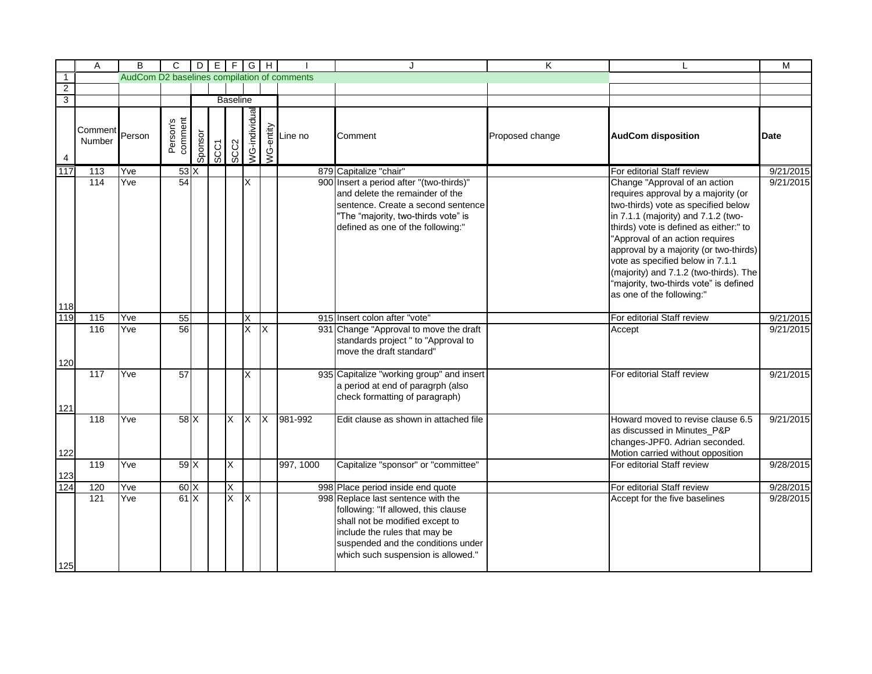|                  | Α                 | B      | C                                           |         |      |                         | $D[E]F[G]H$   |           |           |                                                                                                                                                                                                                           | K               |                                                                                                                                                                                                                                                                                                                                                                                                                                | М           |
|------------------|-------------------|--------|---------------------------------------------|---------|------|-------------------------|---------------|-----------|-----------|---------------------------------------------------------------------------------------------------------------------------------------------------------------------------------------------------------------------------|-----------------|--------------------------------------------------------------------------------------------------------------------------------------------------------------------------------------------------------------------------------------------------------------------------------------------------------------------------------------------------------------------------------------------------------------------------------|-------------|
| $\overline{1}$   |                   |        | AudCom D2 baselines compilation of comments |         |      |                         |               |           |           |                                                                                                                                                                                                                           |                 |                                                                                                                                                                                                                                                                                                                                                                                                                                |             |
| $\overline{2}$   |                   |        |                                             |         |      |                         |               |           |           |                                                                                                                                                                                                                           |                 |                                                                                                                                                                                                                                                                                                                                                                                                                                |             |
| $\overline{3}$   |                   |        |                                             |         |      | <b>Baseline</b>         |               |           |           |                                                                                                                                                                                                                           |                 |                                                                                                                                                                                                                                                                                                                                                                                                                                |             |
|                  | Comment<br>Number | Person | Person's<br>comment                         | Sponsor | SCC1 | SCC <sub>2</sub>        | /VG-individua | WG-entity | Line no   | Comment                                                                                                                                                                                                                   | Proposed change | <b>AudCom disposition</b>                                                                                                                                                                                                                                                                                                                                                                                                      | <b>Date</b> |
| $\overline{117}$ | $\overline{113}$  | Yve    | $53 \times$                                 |         |      |                         |               |           |           | 879 Capitalize "chair"                                                                                                                                                                                                    |                 | For editorial Staff review                                                                                                                                                                                                                                                                                                                                                                                                     | 9/21/2015   |
|                  | 114               | Yve    | 54                                          |         |      |                         | X             |           |           | 900 Insert a period after "(two-thirds)"<br>and delete the remainder of the<br>sentence. Create a second sentence<br>"The "majority, two-thirds vote" is<br>defined as one of the following:"                             |                 | Change "Approval of an action<br>requires approval by a majority (or<br>two-thirds) vote as specified below<br>in 7.1.1 (majority) and 7.1.2 (two-<br>thirds) vote is defined as either:" to<br>"Approval of an action requires<br>approval by a majority (or two-thirds)<br>vote as specified below in 7.1.1<br>(majority) and 7.1.2 (two-thirds). The<br>"majority, two-thirds vote" is defined<br>as one of the following:" | 9/21/2015   |
| 118              |                   |        |                                             |         |      |                         |               |           |           |                                                                                                                                                                                                                           |                 |                                                                                                                                                                                                                                                                                                                                                                                                                                |             |
| 119              | 115               | Yve    | 55                                          |         |      |                         | X             |           |           | 915 Insert colon after "vote"                                                                                                                                                                                             |                 | For editorial Staff review                                                                                                                                                                                                                                                                                                                                                                                                     | 9/21/2015   |
| 120              | 116               | Yve    | 56                                          |         |      |                         | X             | ΙX        |           | 931 Change "Approval to move the draft<br>standards project " to "Approval to<br>move the draft standard"                                                                                                                 |                 | Accept                                                                                                                                                                                                                                                                                                                                                                                                                         | 9/21/2015   |
| 121              | 117               | Yve    | 57                                          |         |      |                         | X             |           |           | 935 Capitalize "working group" and insert<br>a period at end of paragrph (also<br>check formatting of paragraph)                                                                                                          |                 | For editorial Staff review                                                                                                                                                                                                                                                                                                                                                                                                     | 9/21/2015   |
| 122              | 118               | Yve    | 58X                                         |         |      | $\overline{\mathsf{x}}$ | <b>X</b>      | <b>X</b>  | 981-992   | Edit clause as shown in attached file                                                                                                                                                                                     |                 | Howard moved to revise clause 6.5<br>as discussed in Minutes_P&P<br>changes-JPF0. Adrian seconded.<br>Motion carried without opposition                                                                                                                                                                                                                                                                                        | 9/21/2015   |
| 123              | 119               | Yve    | 59X                                         |         |      | X                       |               |           | 997, 1000 | Capitalize "sponsor" or "committee"                                                                                                                                                                                       |                 | For editorial Staff review                                                                                                                                                                                                                                                                                                                                                                                                     | 9/28/2015   |
| 124              | 120               | Yve    | 60X                                         |         |      | X                       |               |           |           | 998 Place period inside end quote                                                                                                                                                                                         |                 | For editorial Staff review                                                                                                                                                                                                                                                                                                                                                                                                     | 9/28/2015   |
| 125              | 121               | Yve    | 61X                                         |         |      | $\overline{\mathsf{x}}$ | X             |           |           | 998 Replace last sentence with the<br>following: "If allowed, this clause<br>shall not be modified except to<br>include the rules that may be<br>suspended and the conditions under<br>which such suspension is allowed." |                 | Accept for the five baselines                                                                                                                                                                                                                                                                                                                                                                                                  | 9/28/2015   |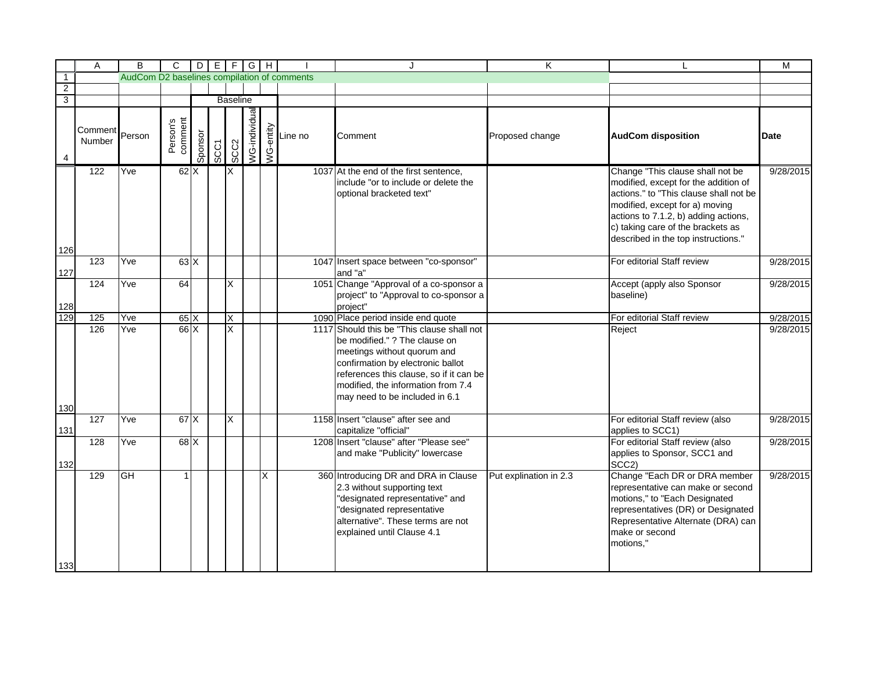|                | А                 | B                                           | C                   |         |      |                 | $D   E   F   G   H$ |   |                                                                                                   | $\cdot$                                                                                                                                                                                                                                                            | Κ                      |                                                                                                                                                                                                                                                                          | M         |
|----------------|-------------------|---------------------------------------------|---------------------|---------|------|-----------------|---------------------|---|---------------------------------------------------------------------------------------------------|--------------------------------------------------------------------------------------------------------------------------------------------------------------------------------------------------------------------------------------------------------------------|------------------------|--------------------------------------------------------------------------------------------------------------------------------------------------------------------------------------------------------------------------------------------------------------------------|-----------|
| $\overline{1}$ |                   | AudCom D2 baselines compilation of comments |                     |         |      |                 |                     |   |                                                                                                   |                                                                                                                                                                                                                                                                    |                        |                                                                                                                                                                                                                                                                          |           |
| $\overline{2}$ |                   |                                             |                     |         |      |                 |                     |   |                                                                                                   |                                                                                                                                                                                                                                                                    |                        |                                                                                                                                                                                                                                                                          |           |
| $\overline{3}$ |                   |                                             |                     |         |      | <b>Baseline</b> |                     |   |                                                                                                   |                                                                                                                                                                                                                                                                    |                        |                                                                                                                                                                                                                                                                          |           |
| 4              | Comment<br>Number | Person                                      | Person's<br>comment | Sponsor | SCC1 | SCC2            | /VG-individua       |   | $\begin{array}{c}\n\sum_{\substack{1\\0\\0\leq x\leq n}}\text{Line no} \\ \text{A.}\n\end{array}$ | Comment                                                                                                                                                                                                                                                            | Proposed change        | <b>AudCom disposition</b>                                                                                                                                                                                                                                                | Date      |
| 126            | 122               | Yve                                         | 62X                 |         |      | ΙX              |                     |   |                                                                                                   | 1037 At the end of the first sentence,<br>include "or to include or delete the<br>optional bracketed text"                                                                                                                                                         |                        | Change "This clause shall not be<br>modified, except for the addition of<br>actions." to "This clause shall not be<br>modified, except for a) moving<br>actions to 7.1.2, b) adding actions,<br>c) taking care of the brackets as<br>described in the top instructions." | 9/28/2015 |
| 127            | 123               | Yve                                         | 63X                 |         |      |                 |                     |   |                                                                                                   | 1047 Insert space between "co-sponsor"<br>and "a"                                                                                                                                                                                                                  |                        | For editorial Staff review                                                                                                                                                                                                                                               | 9/28/2015 |
| 128            | 124               | Yve                                         | 64                  |         |      | X               |                     |   |                                                                                                   | 1051 Change "Approval of a co-sponsor a<br>project" to "Approval to co-sponsor a<br>project"                                                                                                                                                                       |                        | Accept (apply also Sponsor<br>baseline)                                                                                                                                                                                                                                  | 9/28/2015 |
| 129            | 125               | Yve                                         | 65X                 |         |      | X               |                     |   |                                                                                                   | 1090 Place period inside end quote                                                                                                                                                                                                                                 |                        | For editorial Staff review                                                                                                                                                                                                                                               | 9/28/2015 |
| 130            | 126               | Yve                                         | 66X                 |         |      | X               |                     |   |                                                                                                   | 1117 Should this be "This clause shall not<br>be modified." ? The clause on<br>meetings without quorum and<br>confirmation by electronic ballot<br>references this clause, so if it can be<br>modified, the information from 7.4<br>may need to be included in 6.1 |                        | Reject                                                                                                                                                                                                                                                                   | 9/28/2015 |
|                | 127               | Yve                                         | 67 X                |         |      | X               |                     |   |                                                                                                   | 1158 Insert "clause" after see and                                                                                                                                                                                                                                 |                        | For editorial Staff review (also                                                                                                                                                                                                                                         | 9/28/2015 |
| 131<br>132     | 128               | Yve                                         | 68 X                |         |      |                 |                     |   |                                                                                                   | capitalize "official"<br>1208 Insert "clause" after "Please see"<br>and make "Publicity" lowercase                                                                                                                                                                 |                        | applies to SCC1)<br>For editorial Staff review (also<br>applies to Sponsor, SCC1 and<br>SCC <sub>2</sub> )                                                                                                                                                               | 9/28/2015 |
| 133            | 129               | <b>GH</b>                                   |                     |         |      |                 |                     | X |                                                                                                   | 360 Introducing DR and DRA in Clause<br>2.3 without supporting text<br>'designated representative" and<br>designated representative<br>alternative". These terms are not<br>explained until Clause 4.1                                                             | Put explination in 2.3 | Change "Each DR or DRA member<br>representative can make or second<br>motions," to "Each Designated<br>representatives (DR) or Designated<br>Representative Alternate (DRA) can<br>make or second<br>motions."                                                           | 9/28/2015 |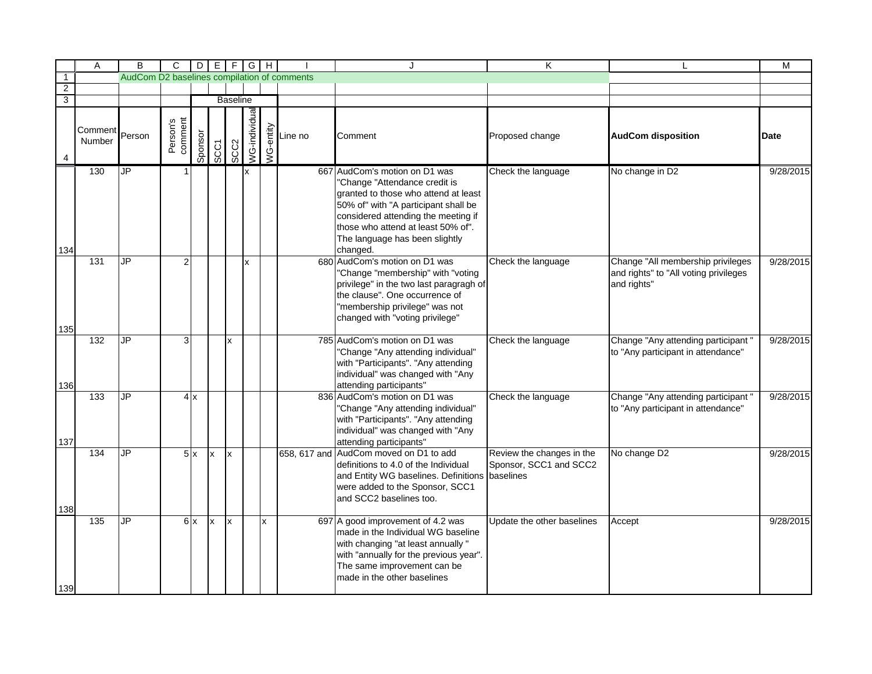|                           | Α                 | B                                           | C                   |         |              |                 | $D[E]F[G]H$   |                         |                                                            | $\cdot$                                                                                                                                                                                                                                                                   | Κ                                                                |                                                                                           | M           |
|---------------------------|-------------------|---------------------------------------------|---------------------|---------|--------------|-----------------|---------------|-------------------------|------------------------------------------------------------|---------------------------------------------------------------------------------------------------------------------------------------------------------------------------------------------------------------------------------------------------------------------------|------------------------------------------------------------------|-------------------------------------------------------------------------------------------|-------------|
| $\overline{1}$            |                   | AudCom D2 baselines compilation of comments |                     |         |              |                 |               |                         |                                                            |                                                                                                                                                                                                                                                                           |                                                                  |                                                                                           |             |
| $\overline{2}$            |                   |                                             |                     |         |              |                 |               |                         |                                                            |                                                                                                                                                                                                                                                                           |                                                                  |                                                                                           |             |
| $\overline{\overline{3}}$ |                   |                                             |                     |         |              | <b>Baseline</b> |               |                         |                                                            |                                                                                                                                                                                                                                                                           |                                                                  |                                                                                           |             |
| 4                         | Comment<br>Number | Person                                      | Person's<br>comment | Sponsor | <b>SCC1</b>  | SCC2            | NG-individual |                         | $\begin{array}{c}\n\sum_{\substack{1\\0\\0\\0\end{array}}$ | Comment                                                                                                                                                                                                                                                                   | Proposed change                                                  | <b>AudCom disposition</b>                                                                 | <b>Date</b> |
| 134                       | 130               | Ъ                                           |                     |         |              |                 | x             |                         |                                                            | 667 AudCom's motion on D1 was<br>'Change "Attendance credit is<br>granted to those who attend at least<br>50% of" with "A participant shall be<br>considered attending the meeting if<br>those who attend at least 50% of".<br>The language has been slightly<br>changed. | Check the language                                               | No change in D2                                                                           | 9/28/2015   |
| 135                       | 131               | JP                                          |                     |         |              |                 | x             |                         |                                                            | 680 AudCom's motion on D1 was<br>'Change "membership" with "voting<br>privilege" in the two last paragragh of<br>the clause". One occurrence of<br>"membership privilege" was not<br>changed with "voting privilege"                                                      | Check the language                                               | Change "All membership privileges<br>and rights" to "All voting privileges<br>and rights" | 9/28/2015   |
| 136                       | 132               | $\overline{\mathsf{J}\mathsf{P}}$           | 3                   |         |              | Ιx              |               |                         |                                                            | 785 AudCom's motion on D1 was<br>"Change "Any attending individual"<br>with "Participants". "Any attending<br>individual" was changed with "Any<br>attending participants"                                                                                                | Check the language                                               | Change "Any attending participant"<br>to "Any participant in attendance"                  | 9/28/2015   |
| 137                       | 133               | <b>JP</b>                                   |                     | 4x      |              |                 |               |                         |                                                            | 836 AudCom's motion on D1 was<br>'Change "Any attending individual"<br>with "Participants". "Any attending<br>individual" was changed with "Any<br>attending participants"                                                                                                | Check the language                                               | Change "Any attending participant"<br>to "Any participant in attendance"                  | 9/28/2015   |
| 138                       | 134               | JP                                          |                     | 5x      | $\mathsf{X}$ | Ιx              |               |                         | 658, 617 and                                               | AudCom moved on D1 to add<br>definitions to 4.0 of the Individual<br>and Entity WG baselines. Definitions<br>were added to the Sponsor, SCC1<br>and SCC2 baselines too.                                                                                                   | Review the changes in the<br>Sponsor, SCC1 and SCC2<br>baselines | No change D2                                                                              | 9/28/2015   |
| 139                       | 135               | JP                                          |                     | 6x      | <b>x</b>     | x               |               | $\overline{\mathsf{x}}$ |                                                            | 697 A good improvement of 4.2 was<br>made in the Individual WG baseline<br>with changing "at least annually "<br>with "annually for the previous year".<br>The same improvement can be<br>made in the other baselines                                                     | Update the other baselines                                       | Accept                                                                                    | 9/28/2015   |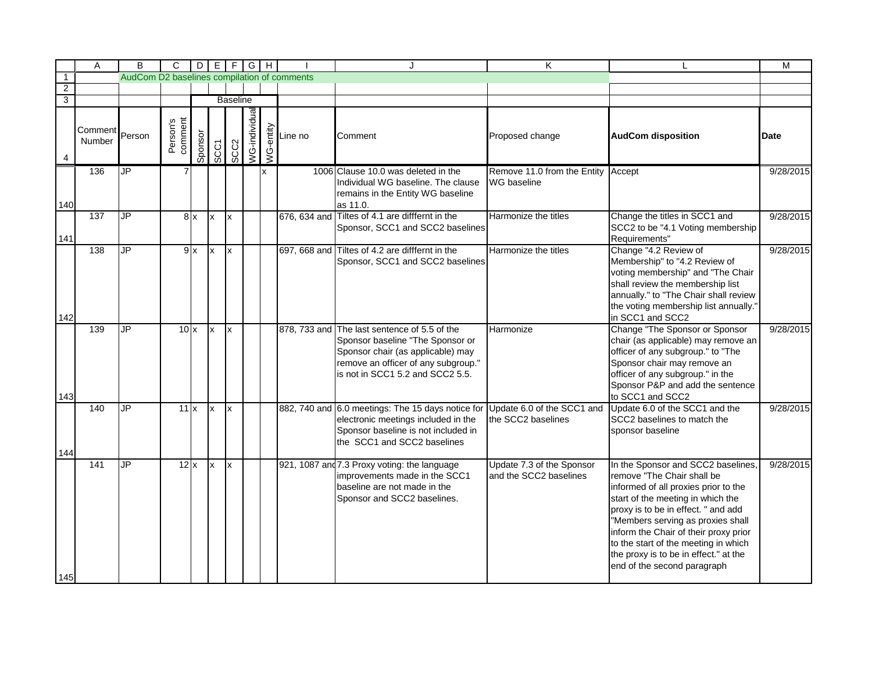|                | Α                 | B                                           | $\mathsf{C}$        |         |             |      | $D[E F G H]$  |           |         | J.                                                                                                                                                                                               | K                                                   |                                                                                                                                                                                                                                                                                                                                                                                    | М         |
|----------------|-------------------|---------------------------------------------|---------------------|---------|-------------|------|---------------|-----------|---------|--------------------------------------------------------------------------------------------------------------------------------------------------------------------------------------------------|-----------------------------------------------------|------------------------------------------------------------------------------------------------------------------------------------------------------------------------------------------------------------------------------------------------------------------------------------------------------------------------------------------------------------------------------------|-----------|
| $\overline{1}$ |                   | AudCom D2 baselines compilation of comments |                     |         |             |      |               |           |         |                                                                                                                                                                                                  |                                                     |                                                                                                                                                                                                                                                                                                                                                                                    |           |
| $\overline{2}$ |                   |                                             |                     |         |             |      |               |           |         |                                                                                                                                                                                                  |                                                     |                                                                                                                                                                                                                                                                                                                                                                                    |           |
| $\overline{3}$ |                   |                                             | <b>Baseline</b>     |         |             |      |               |           |         |                                                                                                                                                                                                  |                                                     |                                                                                                                                                                                                                                                                                                                                                                                    |           |
|                | Comment<br>Number | Person                                      | Person's<br>comment | Sponsor | <b>SCC1</b> | SCC2 | VG-individual | WG-entity | Line no | Comment                                                                                                                                                                                          | Proposed change                                     | <b>AudCom disposition</b>                                                                                                                                                                                                                                                                                                                                                          | Date      |
| 140            | 136               | ١h                                          | 7                   |         |             |      |               | x         |         | 1006 Clause 10.0 was deleted in the<br>Individual WG baseline. The clause<br>remains in the Entity WG baseline<br>as 11.0.                                                                       | Remove 11.0 from the Entity<br>WG baseline          | Accept                                                                                                                                                                                                                                                                                                                                                                             | 9/28/2015 |
| 141            | 137               | $\overline{\mathsf{J}\mathsf{P}}$           |                     | 8x      | x           | Ιx   |               |           |         | 676, 634 and Tiltes of 4.1 are difffernt in the<br>Sponsor, SCC1 and SCC2 baselines                                                                                                              | Harmonize the titles                                | Change the titles in SCC1 and<br>SCC2 to be "4.1 Voting membership<br>Requirements"                                                                                                                                                                                                                                                                                                | 9/28/2015 |
|                | 138               | $\overline{\mathsf{J} \mathsf{P}}$          |                     | 9x      | <b>x</b>    | Ιx   |               |           |         | 697, 668 and Tiltes of 4.2 are difffernt in the<br>Sponsor, SCC1 and SCC2 baselines                                                                                                              | Harmonize the titles                                | Change "4.2 Review of<br>Membership" to "4.2 Review of<br>voting membership" and "The Chair<br>shall review the membership list<br>annually." to "The Chair shall review<br>the voting membership list annually."                                                                                                                                                                  | 9/28/2015 |
| 142            |                   |                                             |                     |         |             |      |               |           |         |                                                                                                                                                                                                  |                                                     | in SCC1 and SCC2                                                                                                                                                                                                                                                                                                                                                                   |           |
| 143            | 139               | <b>JP</b>                                   | $10\mathrm{x}$      |         | x           | Ιx   |               |           |         | 878, 733 and The last sentence of 5.5 of the<br>Sponsor baseline "The Sponsor or<br>Sponsor chair (as applicable) may<br>remove an officer of any subgroup."<br>is not in SCC1 5.2 and SCC2 5.5. | Harmonize                                           | Change "The Sponsor or Sponsor<br>chair (as applicable) may remove an<br>officer of any subgroup." to "The<br>Sponsor chair may remove an<br>officer of any subgroup." in the<br>Sponsor P&P and add the sentence<br>to SCC1 and SCC2                                                                                                                                              | 9/28/2015 |
| 144            | 140               | <b>JP</b>                                   | $11\mathrm{k}$      |         | x           | Ιx   |               |           |         | 882, 740 and 6.0 meetings: The 15 days notice for<br>electronic meetings included in the<br>Sponsor baseline is not included in<br>the SCC1 and SCC2 baselines                                   | Update 6.0 of the SCC1 and<br>the SCC2 baselines    | Update 6.0 of the SCC1 and the<br>SCC2 baselines to match the<br>sponsor baseline                                                                                                                                                                                                                                                                                                  | 9/28/2015 |
| 145            | 141               | JP                                          | 12x                 |         | lx.         | Ιx   |               |           |         | 921, 1087 and 7.3 Proxy voting: the language<br>improvements made in the SCC1<br>baseline are not made in the<br>Sponsor and SCC2 baselines.                                                     | Update 7.3 of the Sponsor<br>and the SCC2 baselines | In the Sponsor and SCC2 baselines,<br>remove "The Chair shall be<br>informed of all proxies prior to the<br>start of the meeting in which the<br>proxy is to be in effect. " and add<br>"Members serving as proxies shall<br>inform the Chair of their proxy prior<br>to the start of the meeting in which<br>the proxy is to be in effect." at the<br>end of the second paragraph | 9/28/2015 |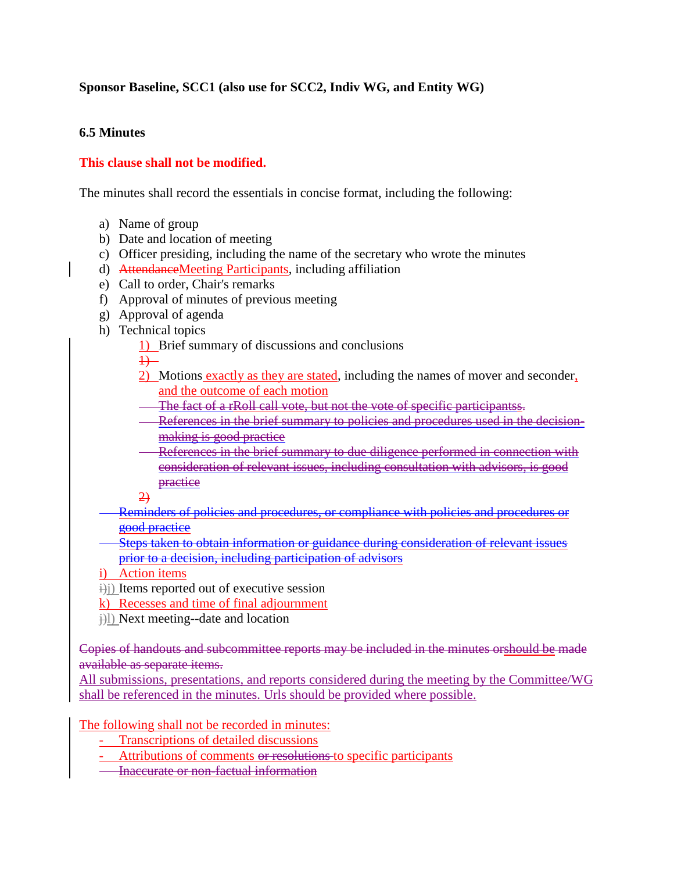#### **Sponsor Baseline, SCC1 (also use for SCC2, Indiv WG, and Entity WG)**

#### **6.5 Minutes**

#### **This clause shall not be modified.**

The minutes shall record the essentials in concise format, including the following:

- a) Name of group
- b) Date and location of meeting
- c) Officer presiding, including the name of the secretary who wrote the minutes
- d) AttendanceMeeting Participants, including affiliation
- e) Call to order, Chair's remarks
- f) Approval of minutes of previous meeting
- g) Approval of agenda
- h) Technical topics
	- 1) Brief summary of discussions and conclusions

 $+$ 

- 2) Motions exactly as they are stated, including the names of mover and seconder, and the outcome of each motion
- The fact of a rRoll call vote, but not the vote of specific participantss.
- References in the brief summary to policies and procedures used in the decisionmaking is good practice
- References in the brief summary to due diligence performed in connection with consideration of relevant issues, including consultation with advisors, is good practice
- $\overline{2}$
- Reminders of policies and procedures, or compliance with policies and procedures or good practice
- Steps taken to obtain information or guidance during consideration of relevant issues prior to a decision, including participation of advisors
- i) Action items
- $\exists$ i) Items reported out of executive session
- k) Recesses and time of final adjournment
- $\hat{H}$ ) Next meeting--date and location

Copies of handouts and subcommittee reports may be included in the minutes orshould be made available as separate items.

All submissions, presentations, and reports considered during the meeting by the Committee/WG shall be referenced in the minutes. Urls should be provided where possible.

The following shall not be recorded in minutes:

- Transcriptions of detailed discussions
- Attributions of comments or resolutions to specific participants
- **Inaccurate or non-factual information**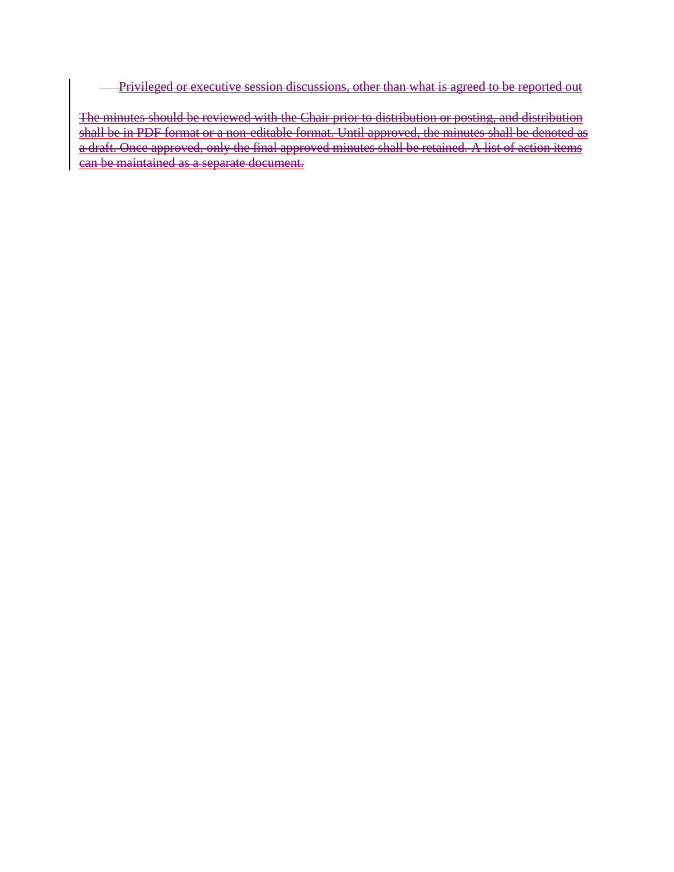Privileged or executive session discussions, other than what is agreed to be reported out  $\overline{\phantom{0}}$ 

The minutes should be reviewed with the Chair prior to distribution or posting, and distribution shall be in PDF format or a non-editable format. Until approved, the minutes shall be denoted as a draft. Once approved, only the final approved minutes shall be retained. A list of action items can be maintained as a separate document.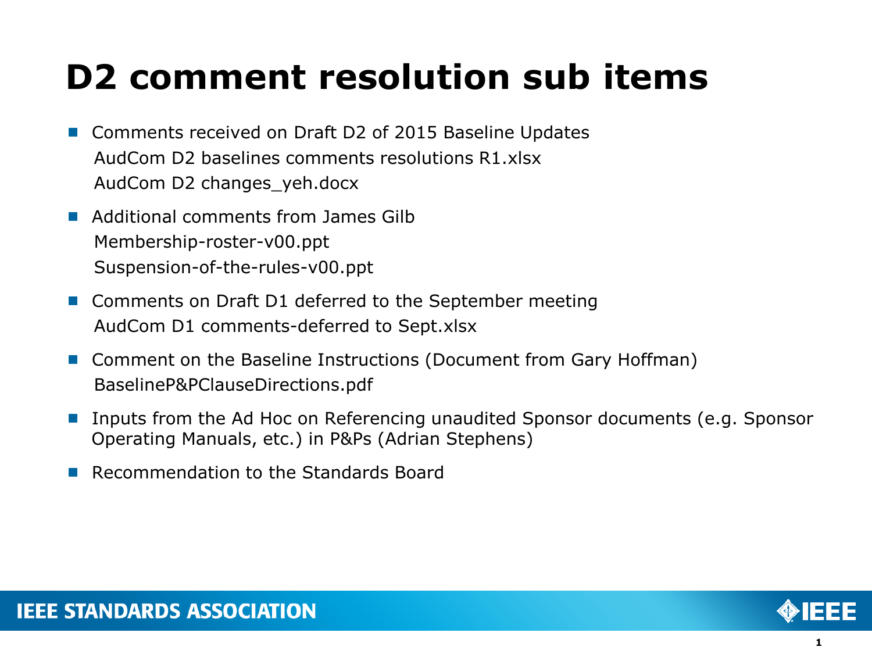- Comments received on Draft D2 of 2015 Baseline Updates AudCom D2 baselines comments resolutions R1.xlsx AudCom D2 changes\_yeh.docx
- **Additional comments from James Gilb** Membership-roster-v00.ppt Suspension-of-the-rules-v00.ppt
- Comments on Draft D1 deferred to the September meeting AudCom D1 comments-deferred to Sept.xlsx
- Comment on the Baseline Instructions (Document from Gary Hoffman) BaselineP&PClauseDirections.pdf
- Inputs from the Ad Hoc on Referencing unaudited Sponsor documents (e.g. Sponsor Operating Manuals, etc.) in P&Ps (Adrian Stephens)
- **Recommendation to the Standards Board**

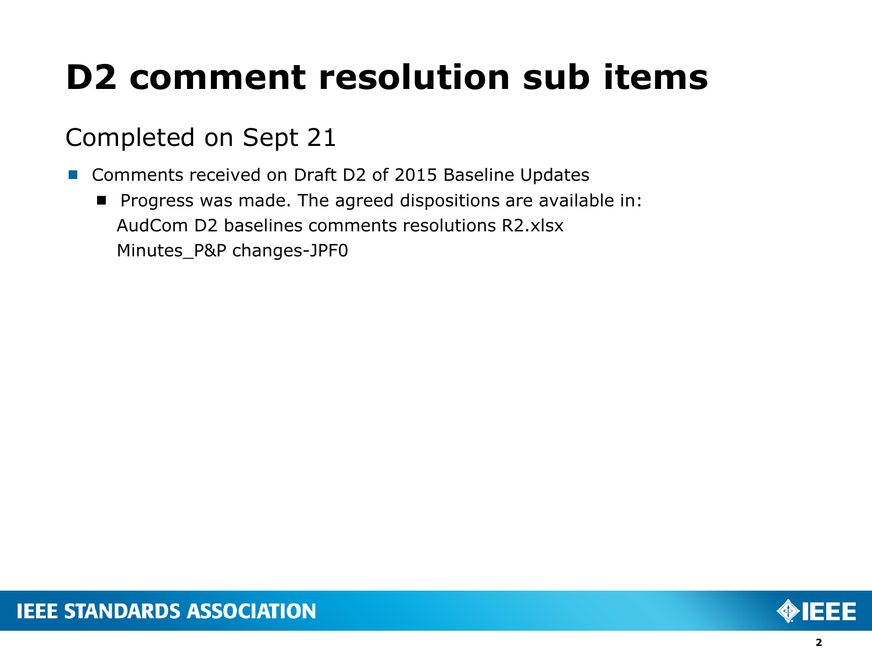## Completed on Sept 21

- Comments received on Draft D2 of 2015 Baseline Updates
	- **Progress was made. The agreed dispositions are available in:** AudCom D2 baselines comments resolutions R2.xlsx Minutes\_P&P changes-JPF0

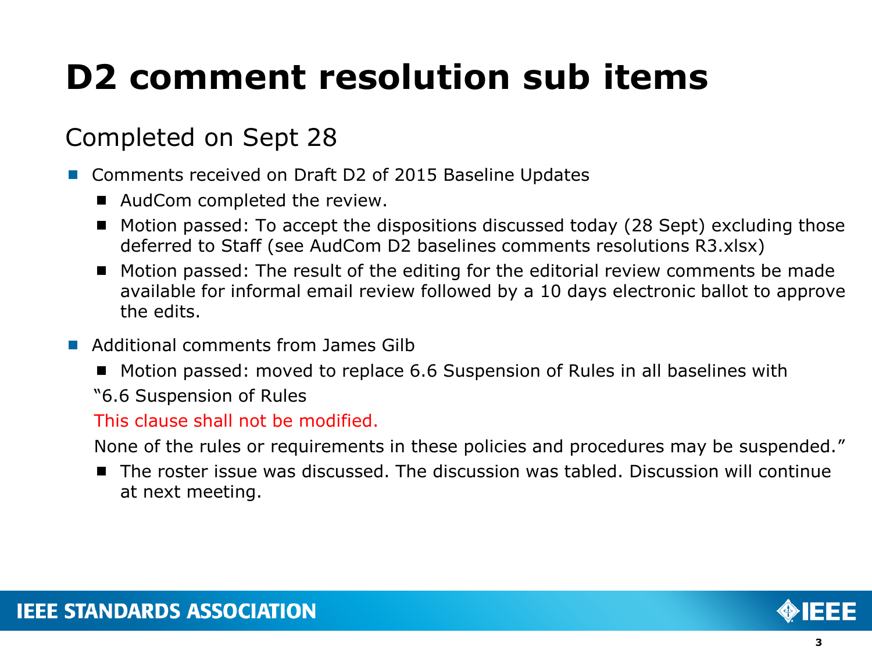### Completed on Sept 28

- Comments received on Draft D2 of 2015 Baseline Updates
	- AudCom completed the review.
	- Motion passed: To accept the dispositions discussed today (28 Sept) excluding those deferred to Staff (see AudCom D2 baselines comments resolutions R3.xlsx)
	- Motion passed: The result of the editing for the editorial review comments be made available for informal email review followed by a 10 days electronic ballot to approve the edits.
- **Additional comments from James Gilb** 
	- Motion passed: moved to replace 6.6 Suspension of Rules in all baselines with
	- "6.6 Suspension of Rules

### This clause shall not be modified.

None of the rules or requirements in these policies and procedures may be suspended."

■ The roster issue was discussed. The discussion was tabled. Discussion will continue at next meeting.

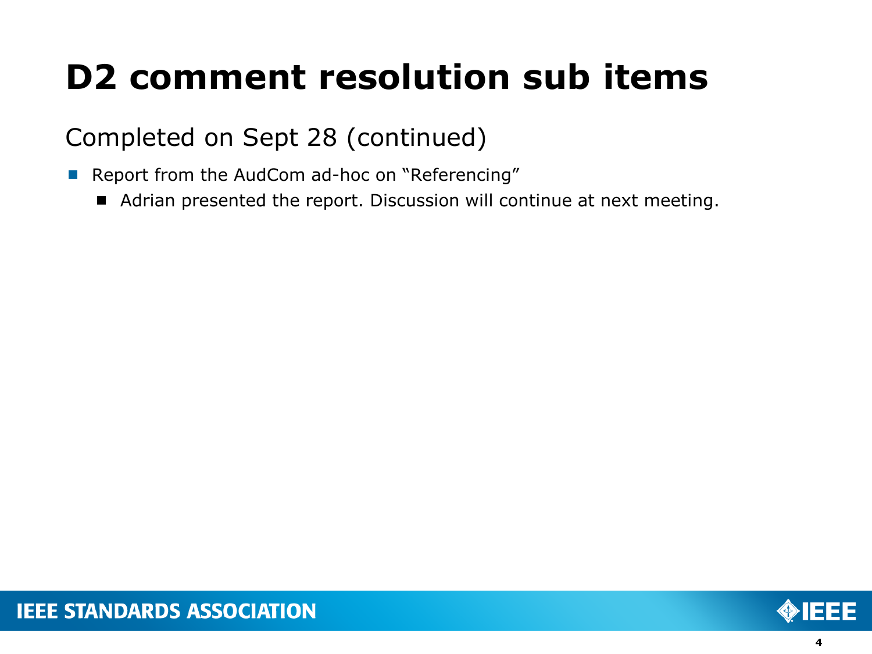### Completed on Sept 28 (continued)

- Report from the AudCom ad-hoc on "Referencing"
	- Adrian presented the report. Discussion will continue at next meeting.

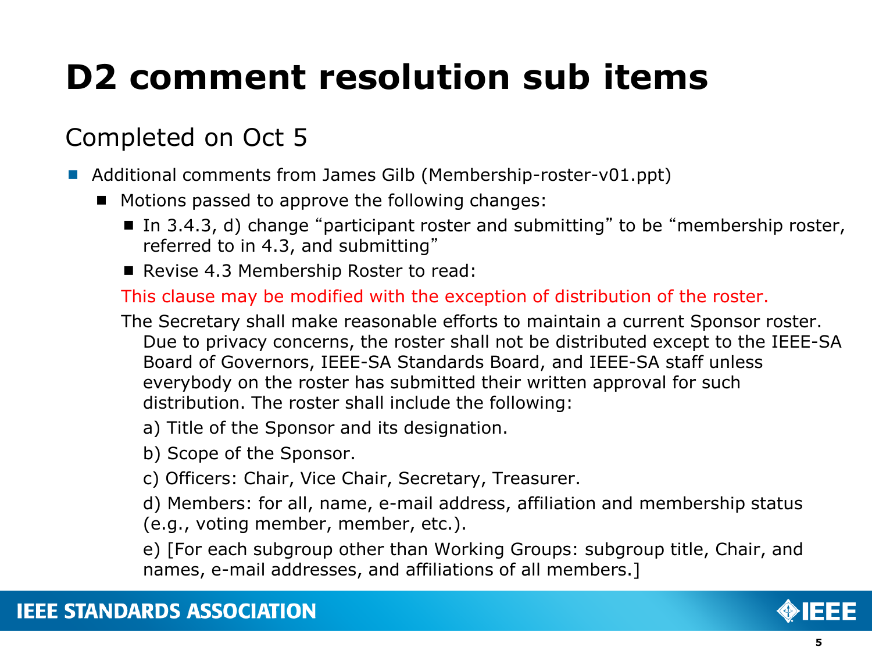## Completed on Oct 5

- Additional comments from James Gilb (Membership-roster-v01.ppt)
	- $\blacksquare$  Motions passed to approve the following changes:
		- In 3.4.3, d) change "participant roster and submitting" to be "membership roster, referred to in 4.3, and submitting"
		- Revise 4.3 Membership Roster to read:

This clause may be modified with the exception of distribution of the roster.

- The Secretary shall make reasonable efforts to maintain a current Sponsor roster. Due to privacy concerns, the roster shall not be distributed except to the IEEE-SA Board of Governors, IEEE-SA Standards Board, and IEEE-SA staff unless everybody on the roster has submitted their written approval for such distribution. The roster shall include the following:
	- a) Title of the Sponsor and its designation.
	- b) Scope of the Sponsor.
	- c) Officers: Chair, Vice Chair, Secretary, Treasurer.
	- d) Members: for all, name, e-mail address, affiliation and membership status (e.g., voting member, member, etc.).

e) [For each subgroup other than Working Groups: subgroup title, Chair, and names, e-mail addresses, and affiliations of all members.]

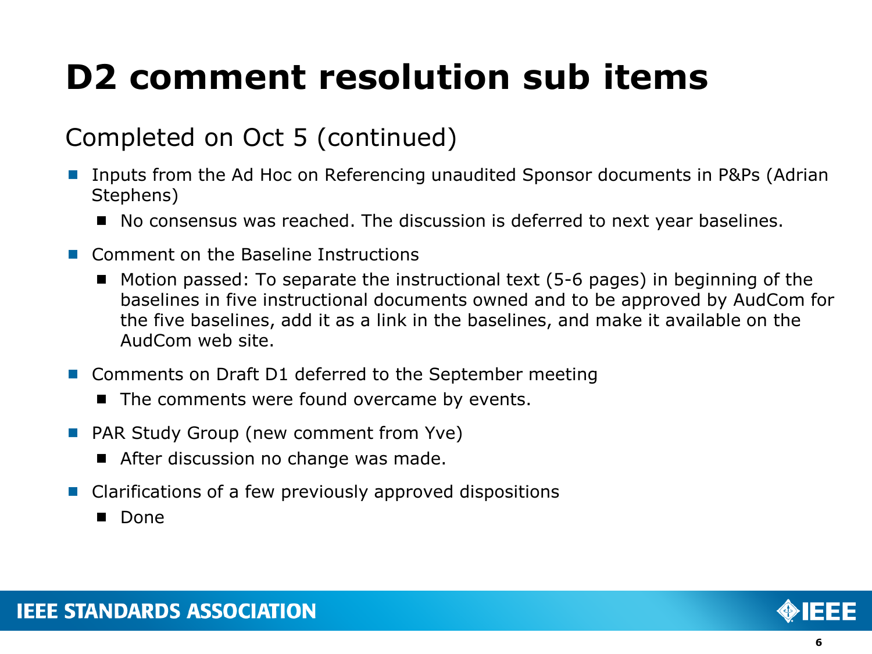### Completed on Oct 5 (continued)

- Inputs from the Ad Hoc on Referencing unaudited Sponsor documents in P&Ps (Adrian Stephens)
	- No consensus was reached. The discussion is deferred to next year baselines.
- Comment on the Baseline Instructions
	- $\blacksquare$  Motion passed: To separate the instructional text (5-6 pages) in beginning of the baselines in five instructional documents owned and to be approved by AudCom for the five baselines, add it as a link in the baselines, and make it available on the AudCom web site.
- Comments on Draft D1 deferred to the September meeting
	- $\blacksquare$  The comments were found overcame by events.
- **PAR Study Group (new comment from Yve)** 
	- After discussion no change was made.
- Clarifications of a few previously approved dispositions
	- **Done**